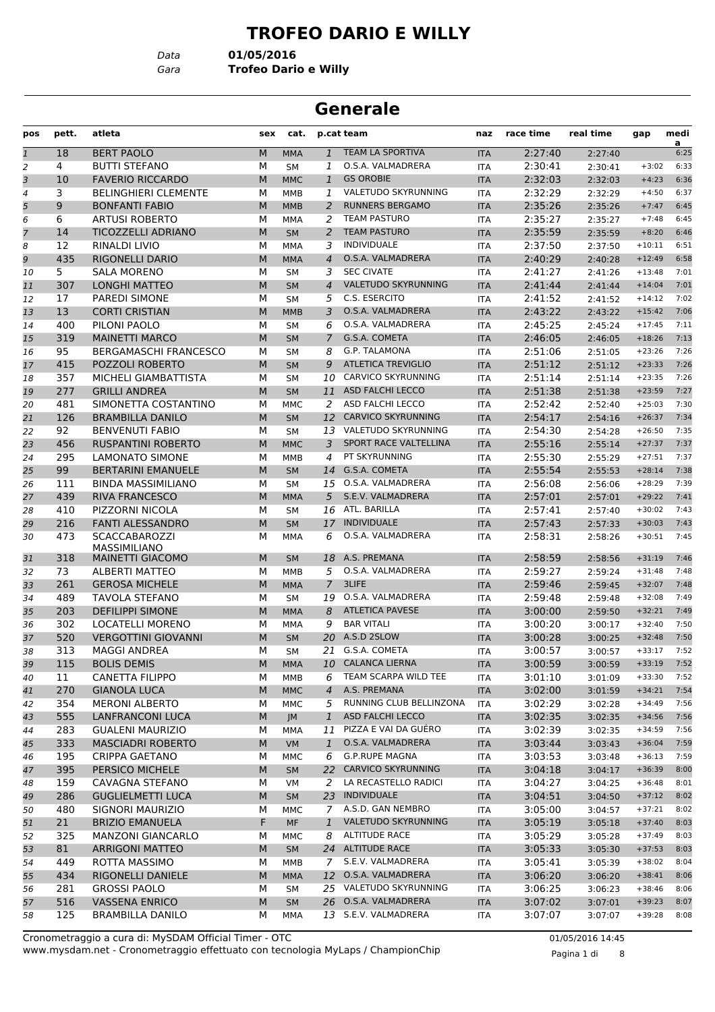# **TROFEO DARIO E WILLY**

*Data* **01/05/2016**

*Gara* **Trofeo Dario e Willy**

#### **Generale**

| pos          | pett. | atleta                                      | sex | cat.       |                | p.cat team                 | naz        | race time | real time | gap      | medi      |
|--------------|-------|---------------------------------------------|-----|------------|----------------|----------------------------|------------|-----------|-----------|----------|-----------|
| $\mathbf{1}$ | 18    | <b>BERT PAOLO</b>                           | M   | <b>MMA</b> | $\mathbf{1}$   | <b>TEAM LA SPORTIVA</b>    | <b>ITA</b> | 2:27:40   | 2:27:40   |          | a<br>6:25 |
| 2            | 4     | <b>BUTTI STEFANO</b>                        | М   | <b>SM</b>  | 1              | O.S.A. VALMADRERA          | <b>ITA</b> | 2:30:41   | 2:30:41   | $+3:02$  | 6:33      |
| 3            | 10    | <b>FAVERIO RICCARDO</b>                     | M   | <b>MMC</b> | $\mathbf{1}$   | <b>GS OROBIE</b>           | <b>ITA</b> | 2:32:03   | 2:32:03   | $+4:23$  | 6:36      |
| 4            | 3     | <b>BELINGHIERI CLEMENTE</b>                 | М   | MMB        | 1              | <b>VALETUDO SKYRUNNING</b> | <b>ITA</b> | 2:32:29   | 2:32:29   | $+4:50$  | 6:37      |
| 5            | 9     | <b>BONFANTI FABIO</b>                       | M   | <b>MMB</b> | $\overline{2}$ | <b>RUNNERS BERGAMO</b>     | <b>ITA</b> | 2:35:26   | 2:35:26   | $+7:47$  | 6:45      |
| 6            | 6     | <b>ARTUSI ROBERTO</b>                       | М   | <b>MMA</b> | 2              | <b>TEAM PASTURO</b>        | <b>ITA</b> | 2:35:27   | 2:35:27   | $+7:48$  | 6:45      |
| 7            | 14    | TICOZZELLI ADRIANO                          | M   | <b>SM</b>  | $\overline{a}$ | <b>TEAM PASTURO</b>        | <b>ITA</b> | 2:35:59   | 2:35:59   | $+8:20$  | 6:46      |
| 8            | 12    | RINALDI LIVIO                               | м   | MMA        | 3              | <b>INDIVIDUALE</b>         | <b>ITA</b> | 2:37:50   | 2:37:50   | $+10:11$ | 6:51      |
| 9            | 435   | <b>RIGONELLI DARIO</b>                      | M   | <b>MMA</b> | $\overline{4}$ | O.S.A. VALMADRERA          | <b>ITA</b> | 2:40:29   | 2:40:28   | $+12:49$ | 6:58      |
| 10           | 5.    | <b>SALA MORENO</b>                          | М   | SΜ         | 3              | <b>SEC CIVATE</b>          | <b>ITA</b> | 2:41:27   | 2:41:26   | $+13:48$ | 7:01      |
| 11           | 307   | <b>LONGHI MATTEO</b>                        | M   | <b>SM</b>  | $\overline{4}$ | <b>VALETUDO SKYRUNNING</b> | <b>ITA</b> | 2:41:44   | 2:41:44   | $+14:04$ | 7:01      |
| 12           | 17    | <b>PAREDI SIMONE</b>                        | М   | <b>SM</b>  | 5              | C.S. ESERCITO              | <b>ITA</b> | 2:41:52   | 2:41:52   | $+14:12$ | 7:02      |
| 13           | 13    | <b>CORTI CRISTIAN</b>                       | M   | <b>MMB</b> | 3              | O.S.A. VALMADRERA          | <b>ITA</b> | 2:43:22   | 2:43:22   | $+15:42$ | 7:06      |
| 14           | 400   | PILONI PAOLO                                | М   | <b>SM</b>  | 6              | O.S.A. VALMADRERA          | <b>ITA</b> | 2:45:25   | 2:45:24   | $+17:45$ | 7:11      |
| 15           | 319   | <b>MAINETTI MARCO</b>                       | M   | <b>SM</b>  | $\overline{7}$ | G.S.A. COMETA              | <b>ITA</b> | 2:46:05   | 2:46:05   | $+18:26$ | 7:13      |
| 16           | 95    | <b>BERGAMASCHI FRANCESCO</b>                | М   | <b>SM</b>  | 8              | <b>G.P. TALAMONA</b>       | ITA        | 2:51:06   | 2:51:05   | $+23:26$ | 7:26      |
| 17           | 415   | POZZOLI ROBERTO                             | M   | <b>SM</b>  | 9              | <b>ATLETICA TREVIGLIO</b>  | <b>ITA</b> | 2:51:12   | 2:51:12   | $+23:33$ | 7:26      |
| 18           | 357   | MICHELI GIAMBATTISTA                        | М   | <b>SM</b>  | 10             | CARVICO SKYRUNNING         | <b>ITA</b> | 2:51:14   | 2:51:14   | $+23:35$ | 7:26      |
| 19           | 277   | <b>GRILLI ANDREA</b>                        | M   | <b>SM</b>  | 11             | <b>ASD FALCHI LECCO</b>    | <b>ITA</b> | 2:51:38   | 2:51:38   | $+23:59$ | 7:27      |
| 20           | 481   | SIMONETTA COSTANTINO                        | м   | <b>MMC</b> | 2              | ASD FALCHI LECCO           | <b>ITA</b> | 2:52:42   | 2:52:40   | $+25:03$ | 7:30      |
| 21           | 126   | <b>BRAMBILLA DANILO</b>                     | M   | <b>SM</b>  | 12             | <b>CARVICO SKYRUNNING</b>  | <b>ITA</b> | 2:54:17   | 2:54:16   | $+26:37$ | 7:34      |
| 22           | 92    | <b>BENVENUTI FABIO</b>                      | М   | <b>SM</b>  |                | 13 VALETUDO SKYRUNNING     | <b>ITA</b> | 2:54:30   | 2:54:28   | $+26:50$ | 7:35      |
| 23           | 456   | <b>RUSPANTINI ROBERTO</b>                   | M   | <b>MMC</b> | 3              | SPORT RACE VALTELLINA      | <b>ITA</b> | 2:55:16   | 2:55:14   | $+27:37$ | 7:37      |
| 24           | 295   | <b>LAMONATO SIMONE</b>                      | М   | <b>MMB</b> | 4              | PT SKYRUNNING              | <b>ITA</b> | 2:55:30   | 2:55:29   | $+27:51$ | 7:37      |
| 25           | 99    | <b>BERTARINI EMANUELE</b>                   | M   | <b>SM</b>  | 14             | G.S.A. COMETA              | <b>ITA</b> | 2:55:54   | 2:55:53   | $+28:14$ | 7:38      |
|              | 111   | <b>BINDA MASSIMILIANO</b>                   | М   | <b>SM</b>  | 15             | O.S.A. VALMADRERA          |            | 2:56:08   |           | $+28:29$ | 7:39      |
| 26           | 439   | <b>RIVA FRANCESCO</b>                       | M   |            | 5              | S.E.V. VALMADRERA          | <b>ITA</b> | 2:57:01   | 2:56:06   | $+29:22$ | 7:41      |
| 27           | 410   |                                             |     | <b>MMA</b> |                | ATL. BARILLA               | <b>ITA</b> | 2:57:41   | 2:57:01   |          | 7:43      |
| 28           |       | PIZZORNI NICOLA<br><b>FANTI ALESSANDRO</b>  | М   | <b>SM</b>  | 16             | <b>INDIVIDUALE</b>         | ITA        | 2:57:43   | 2:57:40   | $+30:02$ | 7:43      |
| 29           | 216   |                                             | M   | <b>SM</b>  | 17             | O.S.A. VALMADRERA          | <b>ITA</b> |           | 2:57:33   | $+30:03$ |           |
| 30           | 473   | <b>SCACCABAROZZI</b><br><b>MASSIMILIANO</b> | м   | <b>MMA</b> | 6              |                            | <b>ITA</b> | 2:58:31   | 2:58:26   | $+30:51$ | 7:45      |
| 31           | 318   | <b>MAINETTI GIACOMO</b>                     | M   | <b>SM</b>  | 18             | A.S. PREMANA               | <b>ITA</b> | 2:58:59   | 2:58:56   | $+31:19$ | 7:46      |
| 32           | 73    | <b>ALBERTI MATTEO</b>                       | м   | MMB        | 5              | O.S.A. VALMADRERA          | ITA        | 2:59:27   | 2:59:24   | $+31:48$ | 7:48      |
| 33           | 261   | <b>GEROSA MICHELE</b>                       | M   | <b>MMA</b> | $\overline{7}$ | <b>3LIFE</b>               | <b>ITA</b> | 2:59:46   | 2:59:45   | $+32:07$ | 7:48      |
| 34           | 489   | <b>TAVOLA STEFANO</b>                       | М   | <b>SM</b>  | 19             | O.S.A. VALMADRERA          | <b>ITA</b> | 2:59:48   | 2:59:48   | $+32:08$ | 7:49      |
| 35           | 203   | <b>DEFILIPPI SIMONE</b>                     | M   | <b>MMA</b> | 8              | <b>ATLETICA PAVESE</b>     | <b>ITA</b> | 3:00:00   | 2:59:50   | $+32:21$ | 7:49      |
| 36           | 302   | <b>LOCATELLI MORENO</b>                     | М   | <b>MMA</b> | 9              | <b>BAR VITALI</b>          | <b>ITA</b> | 3:00:20   | 3:00:17   | $+32:40$ | 7:50      |
| 37           | 520   | <b>VERGOTTINI GIOVANNI</b>                  | M   | <b>SM</b>  | 20             | A.S.D 2SLOW                | <b>ITA</b> | 3:00:28   | 3:00:25   | $+32:48$ | 7:50      |
| 38           | 313   | <b>MAGGI ANDREA</b>                         | м   | <b>SM</b>  | 21             | G.S.A. COMETA              | <b>ITA</b> | 3:00:57   | 3:00:57   | $+33:17$ | 7:52      |
| 39           | 115   | <b>BOLIS DEMIS</b>                          | M   | <b>MMA</b> | 10             | <b>CALANCA LIERNA</b>      | <b>ITA</b> | 3:00:59   | 3:00:59   | $+33:19$ | 7:52      |
| 40           | 11    | CANETTA FILIPPO                             | М   | MMB        | 6              | TEAM SCARPA WILD TEE       | ITA        | 3:01:10   | 3:01:09   | $+33:30$ | 7:52      |
| 41           | 270   | <b>GIANOLA LUCA</b>                         | M   | <b>MMC</b> | $\overline{4}$ | A.S. PREMANA               | <b>ITA</b> | 3:02:00   | 3:01:59   | $+34:21$ | 7:54      |
| 42           | 354   | <b>MERONI ALBERTO</b>                       | М   | MMC        | 5              | RUNNING CLUB BELLINZONA    | ITA        | 3:02:29   | 3:02:28   | $+34:49$ | 7:56      |
| 43           | 555   | LANFRANCONI LUCA                            | M   | JM         | $\mathbf{1}$   | <b>ASD FALCHI LECCO</b>    | <b>ITA</b> | 3:02:35   | 3:02:35   | $+34:56$ | 7:56      |
| 44           | 283   | <b>GUALENI MAURIZIO</b>                     | м   | MMA        | 11             | PIZZA E VAI DA GUÉRO       | ITA        | 3:02:39   | 3:02:35   | $+34:59$ | 7:56      |
| 45           | 333   | <b>MASCIADRI ROBERTO</b>                    | M   | <b>VM</b>  | $\mathbf{1}$   | O.S.A. VALMADRERA          | <b>ITA</b> | 3:03:44   | 3:03:43   | $+36:04$ | 7:59      |
| 46           | 195   | CRIPPA GAETANO                              | М   | MMC        | 6              | <b>G.P.RUPE MAGNA</b>      | ITA        | 3:03:53   | 3:03:48   | $+36:13$ | 7:59      |
| 47           | 395   | PERSICO MICHELE                             | M   | <b>SM</b>  |                | 22 CARVICO SKYRUNNING      | <b>ITA</b> | 3:04:18   | 3:04:17   | $+36:39$ | 8:00      |
| 48           | 159   | CAVAGNA STEFANO                             | М   | VM         | 2              | LA RECASTELLO RADICI       | ITA        | 3:04:27   | 3:04:25   | $+36:48$ | 8:01      |
| 49           | 286   | <b>GUGLIELMETTI LUCA</b>                    | M   | <b>SM</b>  |                | 23 INDIVIDUALE             | <b>ITA</b> | 3:04:51   | 3:04:50   | $+37:12$ | 8:02      |
| 50           | 480   | SIGNORI MAURIZIO                            | М   | MMC        | 7              | A.S.D. GAN NEMBRO          | ITA        | 3:05:00   | 3:04:57   | $+37:21$ | 8:02      |
| 51           | 21    | <b>BRIZIO EMANUELA</b>                      | F.  | <b>MF</b>  | $\mathbf{1}$   | VALETUDO SKYRUNNING        | <b>ITA</b> | 3:05:19   | 3:05:18   | $+37:40$ | 8:03      |
| 52           | 325   | <b>MANZONI GIANCARLO</b>                    | М   | MMC        | 8              | ALTITUDE RACE              | ITA        | 3:05:29   | 3:05:28   | $+37:49$ | 8:03      |
| 53           | 81    | <b>ARRIGONI MATTEO</b>                      | M   | <b>SM</b>  |                | 24 ALTITUDE RACE           | <b>ITA</b> | 3:05:33   | 3:05:30   | $+37:53$ | 8:03      |
| 54           | 449   | ROTTA MASSIMO                               | м   | MMB        | 7 <sup>7</sup> | S.E.V. VALMADRERA          | ITA        | 3:05:41   | 3:05:39   | $+38:02$ | 8:04      |
| 55           | 434   | RIGONELLI DANIELE                           | M   | <b>MMA</b> |                | 12 O.S.A. VALMADRERA       | <b>ITA</b> | 3:06:20   | 3:06:20   | $+38:41$ | 8:06      |
| 56           | 281   | <b>GROSSI PAOLO</b>                         | м   | SM         |                | 25 VALETUDO SKYRUNNING     | ITA        | 3:06:25   | 3:06:23   | $+38:46$ | 8:06      |
| 57           | 516   | <b>VASSENA ENRICO</b>                       | M   | <b>SM</b>  |                | 26 O.S.A. VALMADRERA       | <b>ITA</b> | 3:07:02   | 3:07:01   | $+39:23$ | 8:07      |
| 58           | 125   | <b>BRAMBILLA DANILO</b>                     | м   | MMA        |                | 13 S.E.V. VALMADRERA       | ITA        | 3:07:07   | 3:07:07   | $+39:28$ | 8:08      |

www.mysdam.net - Cronometraggio effettuato con tecnologia MyLaps / ChampionChip Cronometraggio a cura di: MySDAM Official Timer - OTC 01/05/2016 14:45

Pagina 1 di 8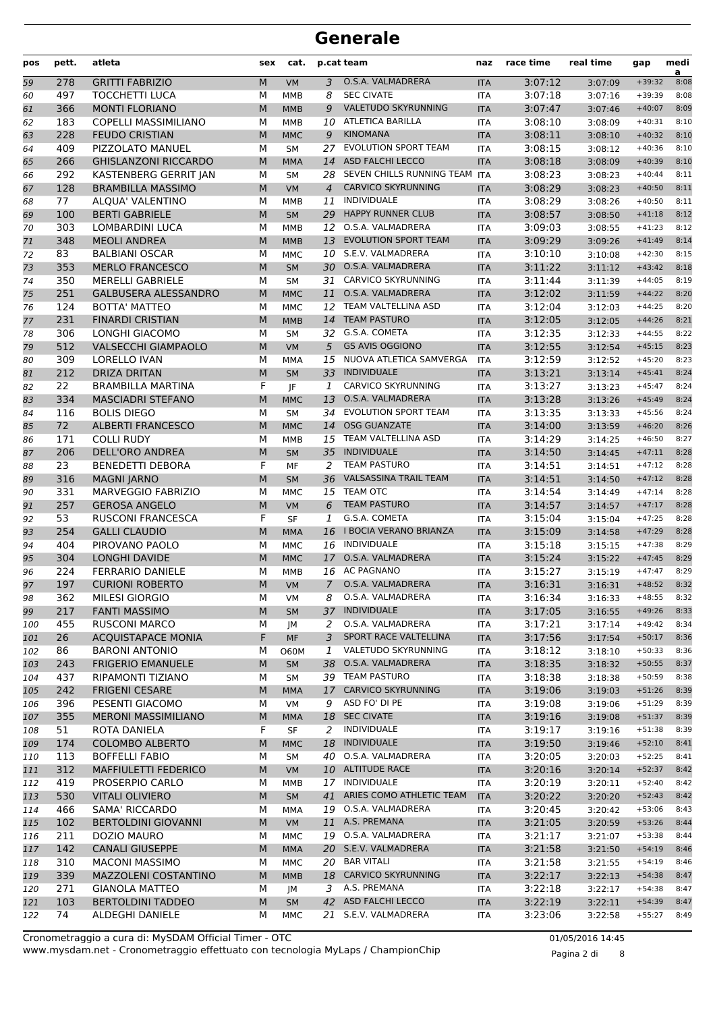| pos | pett. | atleta                      | sex | cat.        |                | p.cat team                    | naz        | race time | real time | gap      | medi<br>a |
|-----|-------|-----------------------------|-----|-------------|----------------|-------------------------------|------------|-----------|-----------|----------|-----------|
| 59  | 278   | <b>GRITTI FABRIZIO</b>      | M   | <b>VM</b>   | 3              | O.S.A. VALMADRERA             | <b>ITA</b> | 3:07:12   | 3:07:09   | $+39:32$ | 8:08      |
| 60  | 497   | <b>TOCCHETTI LUCA</b>       | М   | <b>MMB</b>  | 8              | <b>SEC CIVATE</b>             | <b>ITA</b> | 3:07:18   | 3:07:16   | $+39:39$ | 8:08      |
| 61  | 366   | <b>MONTI FLORIANO</b>       | M   | <b>MMB</b>  | 9              | VALETUDO SKYRUNNING           | <b>ITA</b> | 3:07:47   | 3:07:46   | $+40:07$ | 8:09      |
| 62  | 183   | <b>COPELLI MASSIMILIANO</b> | M   | <b>MMB</b>  | 10             | <b>ATLETICA BARILLA</b>       | <b>ITA</b> | 3:08:10   | 3:08:09   | $+40:31$ | 8:10      |
| 63  | 228   | <b>FEUDO CRISTIAN</b>       | M   | <b>MMC</b>  | 9              | <b>KINOMANA</b>               | <b>ITA</b> | 3:08:11   | 3:08:10   | $+40:32$ | 8:10      |
| 64  | 409   | PIZZOLATO MANUEL            | M   | <b>SM</b>   | 27             | <b>EVOLUTION SPORT TEAM</b>   | <b>ITA</b> | 3:08:15   | 3:08:12   | $+40:36$ | 8:10      |
| 65  | 266   | <b>GHISLANZONI RICCARDO</b> | M   | <b>MMA</b>  | 14             | <b>ASD FALCHI LECCO</b>       | <b>ITA</b> | 3:08:18   | 3:08:09   | $+40:39$ | 8:10      |
| 66  | 292   | KASTENBERG GERRIT JAN       | М   | <b>SM</b>   | 28             | SEVEN CHILLS RUNNING TEAM     | <b>ITA</b> | 3:08:23   | 3:08:23   | $+40:44$ | 8:11      |
| 67  | 128   | <b>BRAMBILLA MASSIMO</b>    | M   | VM          | $\overline{4}$ | <b>CARVICO SKYRUNNING</b>     | <b>ITA</b> | 3:08:29   | 3:08:23   | $+40:50$ | 8:11      |
| 68  | 77    | <b>ALOUA' VALENTINO</b>     | M   | <b>MMB</b>  | 11             | <b>INDIVIDUALE</b>            | <b>ITA</b> | 3:08:29   | 3:08:26   | $+40:50$ | 8:11      |
| 69  | 100   | <b>BERTI GABRIELE</b>       | M   | <b>SM</b>   | 29             | <b>HAPPY RUNNER CLUB</b>      | <b>ITA</b> | 3:08:57   | 3:08:50   | $+41:18$ | 8:12      |
| 70  | 303   | <b>LOMBARDINI LUCA</b>      | М   | MMB         | 12             | O.S.A. VALMADRERA             | <b>ITA</b> | 3:09:03   | 3:08:55   | $+41:23$ | 8:12      |
| 71  | 348   | <b>MEOLI ANDREA</b>         | M   | <b>MMB</b>  | 13             | <b>EVOLUTION SPORT TEAM</b>   | <b>ITA</b> | 3:09:29   | 3:09:26   | $+41:49$ | 8:14      |
| 72  | 83    | <b>BALBIANI OSCAR</b>       | M   | <b>MMC</b>  | 10             | S.E.V. VALMADRERA             | <b>ITA</b> | 3:10:10   | 3:10:08   | $+42:30$ | 8:15      |
| 73  | 353   | <b>MERLO FRANCESCO</b>      | M   | <b>SM</b>   | 30             | O.S.A. VALMADRERA             | <b>ITA</b> | 3:11:22   | 3:11:12   | $+43:42$ | 8:18      |
| 74  | 350   | <b>MERELLI GABRIELE</b>     | M   | <b>SM</b>   | 31             | <b>CARVICO SKYRUNNING</b>     | <b>ITA</b> | 3:11:44   | 3:11:39   | $+44:05$ | 8:19      |
| 75  | 251   | <b>GALBUSERA ALESSANDRO</b> | M   | <b>MMC</b>  | 11             | O.S.A. VALMADRERA             | <b>ITA</b> | 3:12:02   | 3:11:59   | $+44:22$ | 8:20      |
| 76  | 124   | <b>BOTTA' MATTEO</b>        | М   | <b>MMC</b>  | 12             | TEAM VALTELLINA ASD           | <b>ITA</b> | 3:12:04   | 3:12:03   | $+44:25$ | 8:20      |
| 77  | 231   | <b>FINARDI CRISTIAN</b>     | M   | <b>MMB</b>  | 14             | <b>TEAM PASTURO</b>           | <b>ITA</b> | 3:12:05   | 3:12:05   | $+44:26$ | 8:21      |
| 78  | 306   | LONGHI GIACOMO              | M   | <b>SM</b>   | 32             | G.S.A. COMETA                 | <b>ITA</b> | 3:12:35   | 3:12:33   | $+44:55$ | 8:22      |
| 79  | 512   | <b>VALSECCHI GIAMPAOLO</b>  | M   | <b>VM</b>   | 5              | <b>GS AVIS OGGIONO</b>        | <b>ITA</b> | 3:12:55   | 3:12:54   | $+45:15$ | 8:23      |
| 80  | 309   | <b>LORELLO IVAN</b>         | M   | <b>MMA</b>  | 15             | NUOVA ATLETICA SAMVERGA       | <b>ITA</b> | 3:12:59   | 3:12:52   | $+45:20$ | 8:23      |
| 81  | 212   | <b>DRIZA DRITAN</b>         | M   | <b>SM</b>   | 33             | <b>INDIVIDUALE</b>            | <b>ITA</b> | 3:13:21   | 3:13:14   | $+45:41$ | 8:24      |
| 82  | 22    | <b>BRAMBILLA MARTINA</b>    | F   | IF          | 1              | <b>CARVICO SKYRUNNING</b>     | <b>ITA</b> | 3:13:27   | 3:13:23   | $+45:47$ | 8:24      |
| 83  | 334   | <b>MASCIADRI STEFANO</b>    | M   | <b>MMC</b>  | 13             | O.S.A. VALMADRERA             | <b>ITA</b> | 3:13:28   | 3:13:26   | $+45:49$ | 8:24      |
| 84  | 116   | <b>BOLIS DIEGO</b>          | М   | <b>SM</b>   | 34             | <b>EVOLUTION SPORT TEAM</b>   | <b>ITA</b> | 3:13:35   | 3:13:33   | $+45:56$ | 8:24      |
| 85  | 72    | <b>ALBERTI FRANCESCO</b>    | M   | <b>MMC</b>  | 14             | <b>OSG GUANZATE</b>           | <b>ITA</b> | 3:14:00   | 3:13:59   | $+46:20$ | 8:26      |
| 86  | 171   | <b>COLLI RUDY</b>           | M   | <b>MMB</b>  | 15             | TEAM VALTELLINA ASD           | <b>ITA</b> | 3:14:29   | 3:14:25   | $+46:50$ | 8:27      |
| 87  | 206   | <b>DELL'ORO ANDREA</b>      | M   | <b>SM</b>   | 35             | <b>INDIVIDUALE</b>            | <b>ITA</b> | 3:14:50   | 3:14:45   | $+47:11$ | 8:28      |
| 88  | 23    | <b>BENEDETTI DEBORA</b>     | F   | MF          | 2              | <b>TEAM PASTURO</b>           | <b>ITA</b> | 3:14:51   | 3:14:51   | $+47:12$ | 8:28      |
| 89  | 316   | <b>MAGNI JARNO</b>          | M   | <b>SM</b>   | 36             | <b>VALSASSINA TRAIL TEAM</b>  | <b>ITA</b> | 3:14:51   | 3:14:50   | $+47:12$ | 8:28      |
| 90  | 331   | <b>MARVEGGIO FABRIZIO</b>   | M   | <b>MMC</b>  | 15             | <b>TEAM OTC</b>               | <b>ITA</b> | 3:14:54   | 3:14:49   | $+47:14$ | 8:28      |
| 91  | 257   | <b>GEROSA ANGELO</b>        | M   | <b>VM</b>   | 6              | <b>TEAM PASTURO</b>           | <b>ITA</b> | 3:14:57   | 3:14:57   | $+47:17$ | 8:28      |
| 92  | 53    | <b>RUSCONI FRANCESCA</b>    | F   | <b>SF</b>   | 1              | G.S.A. COMETA                 | <b>ITA</b> | 3:15:04   | 3:15:04   | $+47:25$ | 8:28      |
| 93  | 254   | <b>GALLI CLAUDIO</b>        | M   | <b>MMA</b>  | 16             | <b>I BOCIA VERANO BRIANZA</b> | <b>ITA</b> | 3:15:09   | 3:14:58   | $+47:29$ | 8:28      |
| 94  | 404   | PIROVANO PAOLO              | М   | <b>MMC</b>  | 16             | INDIVIDUALE                   | <b>ITA</b> | 3:15:18   | 3:15:15   | $+47:38$ | 8:29      |
| 95  | 304   | <b>LONGHI DAVIDE</b>        | M   | <b>MMC</b>  | 17             | O.S.A. VALMADRERA             | <b>ITA</b> | 3:15:24   | 3:15:22   | $+47:45$ | 8:29      |
| 96  | 224   | <b>FERRARIO DANIELE</b>     | М   | MMB         | 16             | AC PAGNANO                    | <b>ITA</b> | 3:15:27   | 3:15:19   | $+47:47$ | 8:29      |
| 97  | 197   | <b>CURIONI ROBERTO</b>      | M   | <b>VM</b>   | $\overline{7}$ | O.S.A. VALMADRERA             | <b>ITA</b> | 3:16:31   | 3:16:31   | $+48:52$ | 8:32      |
| 98  | 362   | MILESI GIORGIO              | М   | VM          | 8              | O.S.A. VALMADRERA             | ITA        | 3:16:34   | 3:16:33   | $+48:55$ | 8:32      |
| 99  | 217   | <b>FANTI MASSIMO</b>        | M   | <b>SM</b>   | 37             | <b>INDIVIDUALE</b>            | <b>ITA</b> | 3:17:05   | 3:16:55   | $+49:26$ | 8:33      |
| 100 | 455   | <b>RUSCONI MARCO</b>        | М   | JМ          | 2              | O.S.A. VALMADRERA             | <b>ITA</b> | 3:17:21   | 3:17:14   | $+49:42$ | 8:34      |
| 101 | 26    | <b>ACQUISTAPACE MONIA</b>   | F   | MF          | 3              | SPORT RACE VALTELLINA         | <b>ITA</b> | 3:17:56   | 3:17:54   | $+50:17$ | 8:36      |
| 102 | 86    | <b>BARONI ANTONIO</b>       | М   | <b>O60M</b> | 1              | VALETUDO SKYRUNNING           | ITA        | 3:18:12   | 3:18:10   | $+50:33$ | 8:36      |
| 103 | 243   | <b>FRIGERIO EMANUELE</b>    | M   | <b>SM</b>   | 38             | O.S.A. VALMADRERA             | <b>ITA</b> | 3:18:35   | 3:18:32   | $+50:55$ | 8:37      |
| 104 | 437   | RIPAMONTI TIZIANO           | М   | <b>SM</b>   |                | 39 TEAM PASTURO               | ITA        | 3:18:38   | 3:18:38   | $+50:59$ | 8:38      |
| 105 | 242   | <b>FRIGENI CESARE</b>       | M   | <b>MMA</b>  |                | 17 CARVICO SKYRUNNING         | <b>ITA</b> | 3:19:06   | 3:19:03   | $+51:26$ | 8:39      |
| 106 | 396   | PESENTI GIACOMO             | М   | <b>VM</b>   | 9              | ASD FO' DI PE                 | ITA        | 3:19:08   | 3:19:06   | $+51:29$ | 8:39      |
| 107 | 355   | MERONI MASSIMILIANO         | M   | <b>MMA</b>  |                | 18 SEC CIVATE                 | <b>ITA</b> | 3:19:16   | 3:19:08   | $+51:37$ | 8:39      |
| 108 | 51    | ROTA DANIELA                | F   | SF          | 2              | INDIVIDUALE                   | <b>ITA</b> | 3:19:17   | 3:19:16   | $+51:38$ | 8:39      |
| 109 | 174   | <b>COLOMBO ALBERTO</b>      | M   | <b>MMC</b>  | 18             | <b>INDIVIDUALE</b>            | <b>ITA</b> | 3:19:50   | 3:19:46   | $+52:10$ | 8:41      |
| 110 | 113   | <b>BOFFELLI FABIO</b>       | М   | <b>SM</b>   | 40             | O.S.A. VALMADRERA             | ITA        | 3:20:05   | 3:20:03   | $+52:25$ | 8:41      |
| 111 | 312   | MAFFIULETTI FEDERICO        | M   | <b>VM</b>   |                | 10 ALTITUDE RACE              | <b>ITA</b> | 3:20:16   | 3:20:14   | $+52:37$ | 8:42      |
| 112 | 419   | PROSERPIO CARLO             | М   | MMB         |                | 17 INDIVIDUALE                | ITA        | 3:20:19   | 3:20:11   | $+52:40$ | 8:42      |
| 113 | 530   | <b>VITALI OLIVIERO</b>      | M   | SM          |                | 41 ARIES COMO ATHLETIC TEAM   | <b>ITA</b> | 3:20:22   | 3:20:20   | $+52:43$ | 8:42      |
| 114 | 466   | SAMA' RICCARDO              | М   | MMA         |                | 19 O.S.A. VALMADRERA          | ITA        | 3:20:45   | 3:20:42   | $+53:06$ | 8:43      |
| 115 | 102   | <b>BERTOLDINI GIOVANNI</b>  | M   | <b>VM</b>   |                | 11 A.S. PREMANA               | <b>ITA</b> | 3:21:05   | 3:20:59   | $+53:26$ | 8:44      |
| 116 | 211   | DOZIO MAURO                 | М   | <b>MMC</b>  |                | 19 O.S.A. VALMADRERA          | ITA        | 3:21:17   | 3:21:07   | $+53:38$ | 8:44      |
| 117 | 142   | <b>CANALI GIUSEPPE</b>      | M   | <b>MMA</b>  |                | 20 S.E.V. VALMADRERA          | <b>ITA</b> | 3:21:58   | 3:21:50   | $+54:19$ | 8:46      |
| 118 | 310   | <b>MACONI MASSIMO</b>       | М   | <b>MMC</b>  |                | 20 BAR VITALI                 | <b>ITA</b> | 3:21:58   | 3:21:55   | $+54:19$ | 8:46      |
| 119 | 339   | MAZZOLENI COSTANTINO        | M   | <b>MMB</b>  |                | 18 CARVICO SKYRUNNING         | <b>ITA</b> | 3:22:17   | 3:22:13   | $+54:38$ | 8:47      |
| 120 | 271   | <b>GIANOLA MATTEO</b>       | м   | JM          |                | 3 A.S. PREMANA                | <b>ITA</b> | 3:22:18   | 3:22:17   | $+54:38$ | 8:47      |
| 121 | 103   | <b>BERTOLDINI TADDEO</b>    | M   | <b>SM</b>   |                | 42 ASD FALCHI LECCO           | <b>ITA</b> | 3:22:19   | 3:22:11   | $+54:39$ | 8:47      |
| 122 | 74    | ALDEGHI DANIELE             | М   | MMC         | 21             | S.E.V. VALMADRERA             | ITA        | 3:23:06   | 3:22:58   | $+55:27$ | 8:49      |

www.mysdam.net - Cronometraggio effettuato con tecnologia MyLaps / ChampionChip Cronometraggio a cura di: MySDAM Official Timer - OTC 01/05/2016 14:45

Pagina 2 di 8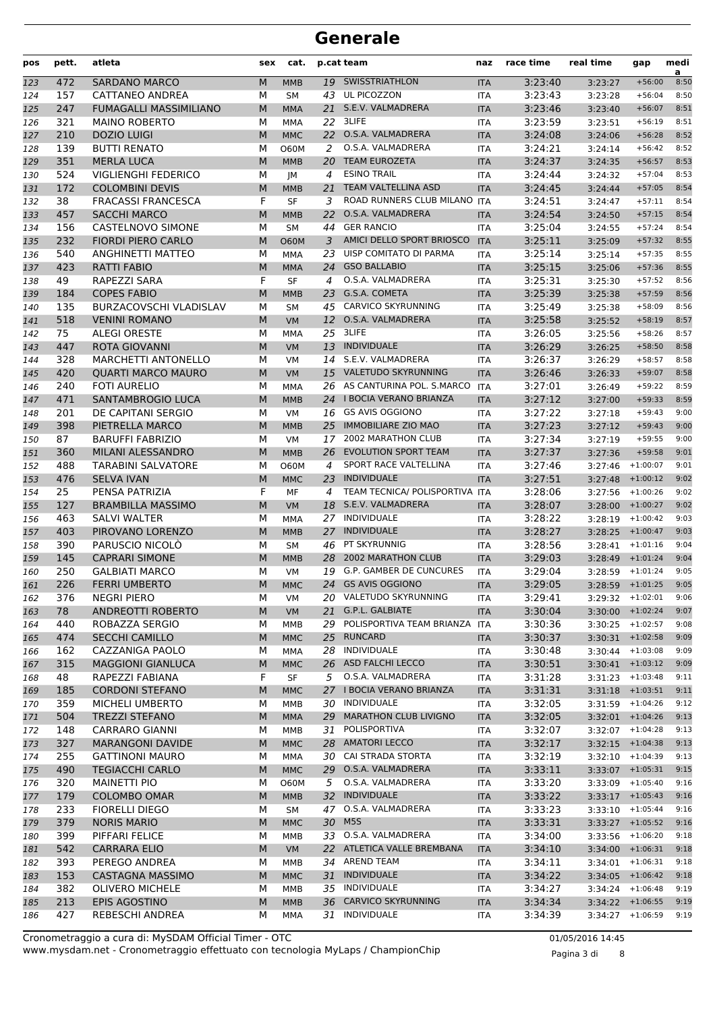| pos        | pett.      | atleta                                               | sex    | cat.                    |                 | p.cat team                                                | naz                      | race time          | real time                                  | gap                  | medi<br>a    |
|------------|------------|------------------------------------------------------|--------|-------------------------|-----------------|-----------------------------------------------------------|--------------------------|--------------------|--------------------------------------------|----------------------|--------------|
| 123        | 472        | <b>SARDANO MARCO</b>                                 | M      | <b>MMB</b>              |                 | 19 SWISSTRIATHLON                                         | <b>ITA</b>               | 3:23:40            | 3:23:27                                    | $+56:00$             | 8:50         |
| 124        | 157        | <b>CATTANEO ANDREA</b>                               | М      | <b>SM</b>               | 43              | UL PICOZZON                                               | <b>ITA</b>               | 3:23:43            | 3:23:28                                    | $+56:04$             | 8:50         |
| 125        | 247        | <b>FUMAGALLI MASSIMILIANO</b>                        | M      | <b>MMA</b>              | 21              | S.E.V. VALMADRERA                                         | <b>ITA</b>               | 3:23:46            | 3:23:40                                    | $+56:07$             | 8:51         |
| 126        | 321        | <b>MAINO ROBERTO</b>                                 | М      | <b>MMA</b>              | 22              | 3LIFE                                                     | <b>ITA</b>               | 3:23:59            | 3:23:51                                    | $+56:19$             | 8:51         |
| 127        | 210        | <b>DOZIO LUIGI</b>                                   | M      | <b>MMC</b>              | 22              | O.S.A. VALMADRERA                                         | <b>ITA</b>               | 3:24:08            | 3:24:06                                    | $+56:28$             | 8:52         |
| 128        | 139        | <b>BUTTI RENATO</b>                                  | М      | <b>O60M</b>             | 2               | O.S.A. VALMADRERA                                         | <b>ITA</b>               | 3:24:21            | 3:24:14                                    | $+56:42$             | 8:52         |
| 129        | 351        | <b>MERLA LUCA</b>                                    | M      | <b>MMB</b>              | 20              | <b>TEAM EUROZETA</b><br><b>ESINO TRAIL</b>                | <b>ITA</b>               | 3:24:37            | 3:24:35                                    | $+56:57$             | 8:53         |
| 130        | 524<br>172 | <b>VIGLIENGHI FEDERICO</b><br><b>COLOMBINI DEVIS</b> | М      | JM                      | 4               | <b>TEAM VALTELLINA ASD</b>                                | <b>ITA</b>               | 3:24:44<br>3:24:45 | 3:24:32                                    | $+57:04$             | 8:53<br>8:54 |
| 131<br>132 | 38         | <b>FRACASSI FRANCESCA</b>                            | M<br>F | <b>MMB</b><br>SF        | 21<br>3         | ROAD RUNNERS CLUB MILANO                                  | <b>ITA</b><br><b>ITA</b> | 3:24:51            | 3:24:44<br>3:24:47                         | $+57:05$<br>$+57:11$ | 8:54         |
| 133        | 457        | <b>SACCHI MARCO</b>                                  | M      | <b>MMB</b>              | 22              | O.S.A. VALMADRERA                                         | <b>ITA</b>               | 3:24:54            | 3:24:50                                    | $+57:15$             | 8:54         |
| 134        | 156        | <b>CASTELNOVO SIMONE</b>                             | М      | <b>SM</b>               | 44              | <b>GER RANCIO</b>                                         | ITA                      | 3:25:04            | 3:24:55                                    | $+57:24$             | 8:54         |
| 135        | 232        | <b>FIORDI PIERO CARLO</b>                            | M      | <b>O60M</b>             | 3               | AMICI DELLO SPORT BRIOSCO                                 | <b>ITA</b>               | 3:25:11            | 3:25:09                                    | $+57:32$             | 8:55         |
| 136        | 540        | <b>ANGHINETTI MATTEO</b>                             | М      | <b>MMA</b>              | 23              | UISP COMITATO DI PARMA                                    | <b>ITA</b>               | 3:25:14            | 3:25:14                                    | $+57:35$             | 8:55         |
| 137        | 423        | <b>RATTI FABIO</b>                                   | M      | <b>MMA</b>              | 24              | <b>GSO BALLABIO</b>                                       | <b>ITA</b>               | 3:25:15            | 3:25:06                                    | $+57:36$             | 8:55         |
| 138        | 49         | RAPEZZI SARA                                         | F      | <b>SF</b>               | 4               | O.S.A. VALMADRERA                                         | <b>ITA</b>               | 3:25:31            | 3:25:30                                    | $+57:52$             | 8:56         |
| 139        | 184        | <b>COPES FABIO</b>                                   | M      | <b>MMB</b>              | 23              | G.S.A. COMETA                                             | <b>ITA</b>               | 3:25:39            | 3:25:38                                    | $+57:59$             | 8:56         |
| 140        | 135        | BURZACOVSCHI VLADISLAV                               | М      | <b>SM</b>               | 45              | CARVICO SKYRUNNING                                        | <b>ITA</b>               | 3:25:49            | 3:25:38                                    | $+58:09$             | 8:56         |
| 141        | 518        | <b>VENINI ROMANO</b>                                 | M      | <b>VM</b>               | 12 <sup>7</sup> | O.S.A. VALMADRERA                                         | <b>ITA</b>               | 3:25:58            | 3:25:52                                    | $+58:19$             | 8:57         |
| 142        | 75         | <b>ALEGI ORESTE</b>                                  | М      | MMA                     | 25              | 3LIFE                                                     | ITA                      | 3:26:05            | 3:25:56                                    | $+58:26$             | 8:57         |
| 143        | 447        | <b>ROTA GIOVANNI</b>                                 | M      | <b>VM</b>               | 13              | <b>INDIVIDUALE</b>                                        | <b>ITA</b>               | 3:26:29            | 3:26:25                                    | $+58:50$             | 8:58         |
| 144        | 328        | <b>MARCHETTI ANTONELLO</b>                           | М      | VM                      | 14              | S.E.V. VALMADRERA                                         | <b>ITA</b>               | 3:26:37            | 3:26:29                                    | $+58:57$             | 8:58         |
| 145        | 420        | <b>QUARTI MARCO MAURO</b>                            | M      | <b>VM</b>               | 15              | <b>VALETUDO SKYRUNNING</b>                                | <b>ITA</b>               | 3:26:46            | 3:26:33                                    | $+59:07$             | 8:58         |
| 146        | 240<br>471 | <b>FOTI AURELIO</b><br><b>SANTAMBROGIO LUCA</b>      | М      | <b>MMA</b>              |                 | 26 AS CANTURINA POL. S.MARCO<br>24 I BOCIA VERANO BRIANZA | <b>ITA</b>               | 3:27:01<br>3:27:12 | 3:26:49                                    | $+59:22$<br>$+59:33$ | 8:59<br>8:59 |
| 147<br>148 | 201        | <b>DE CAPITANI SERGIO</b>                            | M<br>М | <b>MMB</b><br><b>VM</b> |                 | 16 GS AVIS OGGIONO                                        | <b>ITA</b><br>ITA        | 3:27:22            | 3:27:00<br>3:27:18                         | $+59:43$             | 9:00         |
| 149        | 398        | PIETRELLA MARCO                                      | M      | <b>MMB</b>              | 25              | <b>IMMOBILIARE ZIO MAO</b>                                | <b>ITA</b>               | 3:27:23            | 3:27:12                                    | $+59:43$             | 9:00         |
| 150        | 87         | <b>BARUFFI FABRIZIO</b>                              | М      | VM                      | 17              | <b>2002 MARATHON CLUB</b>                                 | <b>ITA</b>               | 3:27:34            | 3:27:19                                    | $+59:55$             | 9:00         |
| 151        | 360        | MILANI ALESSANDRO                                    | M      | <b>MMB</b>              | 26              | <b>EVOLUTION SPORT TEAM</b>                               | <b>ITA</b>               | 3:27:37            | 3:27:36                                    | $+59:58$             | 9:01         |
| 152        | 488        | <b>TARABINI SALVATORE</b>                            | М      | <b>O60M</b>             | 4               | SPORT RACE VALTELLINA                                     | <b>ITA</b>               | 3:27:46            | 3:27:46                                    | $+1:00:07$           | 9:01         |
| 153        | 476        | <b>SELVA IVAN</b>                                    | M      | <b>MMC</b>              | 23              | <b>INDIVIDUALE</b>                                        | <b>ITA</b>               | 3:27:51            | 3:27:48                                    | $+1:00:12$           | 9:02         |
| 154        | 25         | PENSA PATRIZIA                                       | F      | MF                      | $\overline{4}$  | TEAM TECNICA/ POLISPORTIVA ITA                            |                          | 3:28:06            | 3:27:56                                    | $+1:00:26$           | 9:02         |
| 155        | 127        | <b>BRAMBILLA MASSIMO</b>                             | M      | <b>VM</b>               | 18              | S.E.V. VALMADRERA                                         | <b>ITA</b>               | 3:28:07            | 3:28:00                                    | $+1:00:27$           | 9:02         |
| 156        | 463        | <b>SALVI WALTER</b>                                  | М      | MMA                     | 27              | <b>INDIVIDUALE</b>                                        | <b>ITA</b>               | 3:28:22            | 3:28:19                                    | $+1:00:42$           | 9:03         |
| 157        | 403        | PIROVANO LORENZO                                     | M      | <b>MMB</b>              | 27              | <b>INDIVIDUALE</b>                                        | <b>ITA</b>               | 3:28:27            | 3:28:25                                    | $+1:00:47$           | 9:03         |
| 158        | 390        | PARUSCIO NICOLO                                      | М      | <b>SM</b>               | 46              | PT SKYRUNNIG                                              | <b>ITA</b>               | 3:28:56            | $3:28:41$ +1:01:16                         |                      | 9:04         |
| 159        | 145        | <b>CAPRARI SIMONE</b>                                | M      | <b>MMB</b>              | 28              | <b>2002 MARATHON CLUB</b>                                 | <b>ITA</b>               | 3:29:03            | 3:28:49                                    | $+1:01:24$           | 9:04         |
| 160        | 250        | <b>GALBIATI MARCO</b>                                | М      | VM                      | 19              | <b>G.P. GAMBER DE CUNCURES</b>                            | ITA                      | 3:29:04            | 3:28:59                                    | $+1:01:24$           | 9:05         |
| 161        | 226        | <b>FERRI UMBERTO</b><br><b>NEGRI PIERO</b>           | M      | <b>MMC</b>              | 24              | <b>GS AVIS OGGIONO</b><br>20 VALETUDO SKYRUNNING          | <b>ITA</b>               | 3:29:05            | $3:28:59$ +1:01:25                         |                      | 9:05         |
| 162<br>163 | 376<br>78  | <b>ANDREOTTI ROBERTO</b>                             | М<br>M | VM<br>VM                |                 | 21 G.P.L. GALBIATE                                        | ITA<br><b>ITA</b>        | 3:29:41<br>3:30:04 | $3:29:32 + 1:02:01$<br>$3:30:00 + 1:02:24$ |                      | 9:06<br>9:07 |
| 164        | 440        | ROBAZZA SERGIO                                       | М      | MMB                     |                 | 29 POLISPORTIVA TEAM BRIANZA ITA                          |                          | 3:30:36            | $3:30:25$ +1:02:57                         |                      | 9:08         |
| 165        | 474        | SECCHI CAMILLO                                       | M      | <b>MMC</b>              |                 | 25 RUNCARD                                                | <b>ITA</b>               | 3:30:37            | $3:30:31 + 1:02:58$                        |                      | 9:09         |
| 166        | 162        | CAZZANIGA PAOLO                                      | М      | MMA                     |                 | 28 INDIVIDUALE                                            | ITA                      | 3:30:48            | $3:30:44$ +1:03:08                         |                      | 9:09         |
| 167        | 315        | <b>MAGGIONI GIANLUCA</b>                             | M      | <b>MMC</b>              |                 | 26 ASD FALCHI LECCO                                       | <b>ITA</b>               | 3:30:51            | $3:30:41$ +1:03:12                         |                      | 9:09         |
| 168        | 48         | RAPEZZI FABIANA                                      | F      | SF                      | 5               | O.S.A. VALMADRERA                                         | ITA                      | 3:31:28            | 3:31:23                                    | $+1:03:48$           | 9:11         |
| 169        | 185        | <b>CORDONI STEFANO</b>                               | M      | <b>MMC</b>              |                 | 27 I BOCIA VERANO BRIANZA                                 | <b>ITA</b>               | 3:31:31            | $3:31:18$ +1:03:51                         |                      | 9:11         |
| 170        | 359        | MICHELI UMBERTO                                      | М      | MMB                     |                 | 30 INDIVIDUALE                                            | <b>ITA</b>               | 3:32:05            | $3:31:59$ +1:04:26                         |                      | 9:12         |
| 171        | 504        | <b>TREZZI STEFANO</b>                                | M      | <b>MMA</b>              |                 | 29 MARATHON CLUB LIVIGNO                                  | <b>ITA</b>               | 3:32:05            | $3:32:01$ +1:04:26                         |                      | 9:13         |
| 172        | 148        | <b>CARRARO GIANNI</b>                                | М      | MMB                     |                 | 31 POLISPORTIVA                                           | ITA                      | 3:32:07            | $3:32:07$ +1:04:28                         |                      | 9:13         |
| 173        | 327        | <b>MARANGONI DAVIDE</b>                              | M      | <b>MMC</b>              |                 | 28 AMATORI LECCO                                          | <b>ITA</b>               | 3:32:17            | $3:32:15$ +1:04:38                         |                      | 9:13         |
| 174        | 255        | <b>GATTINONI MAURO</b>                               | М      | MMA                     |                 | 30 CAI STRADA STORTA                                      | ITA                      | 3:32:19            | 3:32:10                                    | $+1:04:39$           | 9:13         |
| 175        | 490        | <b>TEGIACCHI CARLO</b>                               | M      | <b>MMC</b>              |                 | 29 O.S.A. VALMADRERA                                      | <b>ITA</b>               | 3:33:11            | $3:33:07$ +1:05:31                         |                      | 9:15         |
| 176        | 320        | <b>MAINETTI PIO</b>                                  | М      | <b>O60M</b>             | 5               | O.S.A. VALMADRERA                                         | ITA                      | 3:33:20            | $3:33:09$ +1:05:40                         |                      | 9:16         |
| 177<br>178 | 179<br>233 | COLOMBO OMAR<br><b>FIORELLI DIEGO</b>                | M<br>М | <b>MMB</b><br><b>SM</b> |                 | 32 INDIVIDUALE<br>47 O.S.A. VALMADRERA                    | <b>ITA</b><br><b>ITA</b> | 3:33:22<br>3:33:23 | $3:33:17$ +1:05:43<br>$3:33:10 + 1:05:44$  |                      | 9:16<br>9:16 |
| 179        | 379        | <b>NORIS MARIO</b>                                   | M      | <b>MMC</b>              |                 | 30 M5S                                                    | <b>ITA</b>               | 3:33:31            | $3:33:27$ +1:05:52                         |                      | 9:16         |
| 180        | 399        | PIFFARI FELICE                                       | М      | MMB                     |                 | 33 O.S.A. VALMADRERA                                      | ITA                      | 3:34:00            | 3:33:56                                    | $+1:06:20$           | 9:18         |
| 181        | 542        | <b>CARRARA ELIO</b>                                  | M      | VM                      |                 | 22 ATLETICA VALLE BREMBANA                                | <b>ITA</b>               | 3:34:10            | $3:34:00$ +1:06:31                         |                      | 9:18         |
| 182        | 393        | PEREGO ANDREA                                        | М      | MMB                     |                 | 34 AREND TEAM                                             | ITA                      | 3:34:11            | $3:34:01$ +1:06:31                         |                      | 9:18         |
| 183        | 153        | CASTAGNA MASSIMO                                     | M      | <b>MMC</b>              |                 | 31 INDIVIDUALE                                            | <b>ITA</b>               | 3:34:22            | $3:34:05$ +1:06:42                         |                      | 9:18         |
| 184        | 382        | <b>OLIVERO MICHELE</b>                               | М      | MMB                     |                 | 35 INDIVIDUALE                                            | <b>ITA</b>               | 3:34:27            | 3:34:24                                    | $+1:06:48$           | 9:19         |
| 185        | 213        | EPIS AGOSTINO                                        | M      | <b>MMB</b>              | 36              | <b>CARVICO SKYRUNNING</b>                                 | <b>ITA</b>               | 3:34:34            | $3:34:22$ +1:06:55                         |                      | 9:19         |
| 186        | 427        | REBESCHI ANDREA                                      | М      | MMA                     | 31              | INDIVIDUALE                                               | ITA                      | 3:34:39            | $3:34:27$ +1:06:59                         |                      | 9:19         |

www.mysdam.net - Cronometraggio effettuato con tecnologia MyLaps / ChampionChip Cronometraggio a cura di: MySDAM Official Timer - OTC 01/05/2016 14:45

Pagina 3 di 8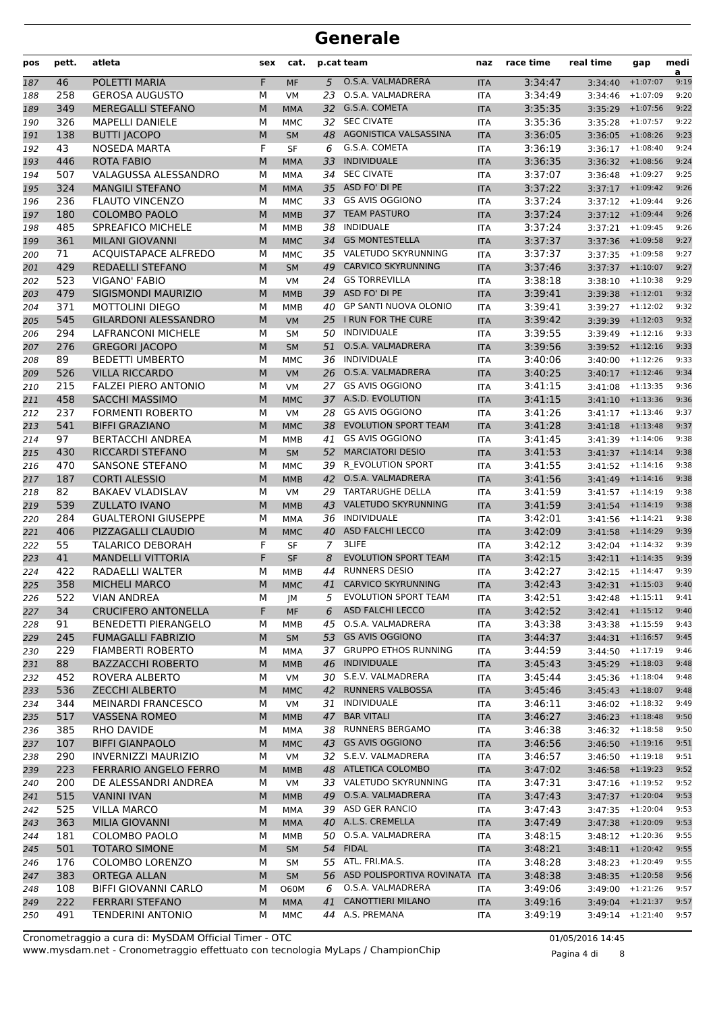| pos        | pett.      | atleta                                         | sex    | cat.                     |                | p.cat team                                          | naz                      | race time          | real time                     | gap                | medi<br>a    |
|------------|------------|------------------------------------------------|--------|--------------------------|----------------|-----------------------------------------------------|--------------------------|--------------------|-------------------------------|--------------------|--------------|
| 187        | 46         | POLETTI MARIA                                  | F      | <b>MF</b>                | 5              | O.S.A. VALMADRERA                                   | <b>ITA</b>               | 3:34:47            | 3:34:40                       | $+1:07:07$         | 9:19         |
| 188        | 258        | <b>GEROSA AUGUSTO</b>                          | М      | <b>VM</b>                | 23             | O.S.A. VALMADRERA                                   | <b>ITA</b>               | 3:34:49            | 3:34:46                       | $+1:07:09$         | 9:20         |
| 189        | 349        | MEREGALLI STEFANO                              | M      | <b>MMA</b>               |                | 32 G.S.A. COMETA                                    | <b>ITA</b>               | 3:35:35            |                               | $3:35:29$ +1:07:56 | 9:22         |
| 190        | 326        | <b>MAPELLI DANIELE</b>                         | M      | MMC                      | 32             | <b>SEC CIVATE</b>                                   | <b>ITA</b>               | 3:35:36            | 3:35:28                       | $+1:07:57$         | 9:22         |
| 191        | 138        | <b>BUTTI JACOPO</b>                            | M      | <b>SM</b>                | 48             | AGONISTICA VALSASSINA                               | <b>ITA</b>               | 3:36:05            | 3:36:05                       | $+1:08:26$         | 9:23         |
| 192        | 43         | <b>NOSEDA MARTA</b>                            | F      | <b>SF</b>                | 6              | G.S.A. COMETA                                       | <b>ITA</b>               | 3:36:19            | $3:36:17$ +1:08:40            |                    | 9:24         |
| 193        | 446        | <b>ROTA FABIO</b>                              | M      | <b>MMA</b>               | 33             | <b>INDIVIDUALE</b>                                  | <b>ITA</b>               | 3:36:35            | $3:36:32$ +1:08:56            |                    | 9:24         |
| 194        | 507        | VALAGUSSA ALESSANDRO                           | M      | <b>MMA</b>               |                | 34 SEC CIVATE                                       | <b>ITA</b>               | 3:37:07            | $3:36:48$ +1:09:27            |                    | 9:25         |
| 195        | 324        | <b>MANGILI STEFANO</b>                         | M      | <b>MMA</b>               |                | 35 ASD FO' DI PE<br><b>GS AVIS OGGIONO</b>          | <b>ITA</b>               | 3:37:22            | $3:37:17$ +1:09:42            | $+1:09:44$         | 9:26<br>9:26 |
| 196        | 236        | <b>FLAUTO VINCENZO</b><br><b>COLOMBO PAOLO</b> | М<br>M | <b>MMC</b>               | 33<br>37       | <b>TEAM PASTURO</b>                                 | <b>ITA</b>               | 3:37:24<br>3:37:24 | 3:37:12                       |                    | 9:26         |
| 197<br>198 | 180<br>485 | <b>SPREAFICO MICHELE</b>                       | М      | <b>MMB</b><br><b>MMB</b> | 38             | <b>INDIDUALE</b>                                    | <b>ITA</b><br><b>ITA</b> | 3:37:24            | $3:37:12$ +1:09:44<br>3:37:21 | $+1:09:45$         | 9:26         |
| 199        | 361        | <b>MILANI GIOVANNI</b>                         | M      | <b>MMC</b>               | 34             | <b>GS MONTESTELLA</b>                               | <b>ITA</b>               | 3:37:37            | 3:37:36                       | $+1:09:58$         | 9:27         |
| 200        | 71         | <b>ACQUISTAPACE ALFREDO</b>                    | M      | <b>MMC</b>               |                | 35 VALETUDO SKYRUNNING                              | <b>ITA</b>               | 3:37:37            | $3:37:35$ +1:09:58            |                    | 9:27         |
| 201        | 429        | <b>REDAELLI STEFANO</b>                        | M      | <b>SM</b>                | 49             | <b>CARVICO SKYRUNNING</b>                           | <b>ITA</b>               | 3:37:46            | $3:37:37$ +1:10:07            |                    | 9:27         |
| 202        | 523        | <b>VIGANO' FABIO</b>                           | М      | VM                       | 24             | <b>GS TORREVILLA</b>                                | <b>ITA</b>               | 3:38:18            | 3:38:10                       | $+1:10:38$         | 9:29         |
| 203        | 479        | SIGISMONDI MAURIZIO                            | M      | <b>MMB</b>               | 39             | ASD FO' DI PE                                       | <b>ITA</b>               | 3:39:41            | $3:39:38$ +1:12:01            |                    | 9:32         |
| 204        | 371        | <b>MOTTOLINI DIEGO</b>                         | М      | MMB                      | 40             | <b>GP SANTI NUOVA OLONIO</b>                        | <b>ITA</b>               | 3:39:41            | $3:39:27$ +1:12:02            |                    | 9:32         |
| 205        | 545        | <b>GILARDONI ALESSANDRO</b>                    | M      | <b>VM</b>                |                | 25 I RUN FOR THE CURE                               | <b>ITA</b>               | 3:39:42            | 3:39:39                       | $+1:12:03$         | 9:32         |
| 206        | 294        | <b>LAFRANCONI MICHELE</b>                      | М      | <b>SM</b>                |                | 50 INDIVIDUALE                                      | <b>ITA</b>               | 3:39:55            |                               | $3:39:49$ +1:12:16 | 9:33         |
| 207        | 276        | <b>GREGORI JACOPO</b>                          | M      | <b>SM</b>                | 51             | O.S.A. VALMADRERA                                   | <b>ITA</b>               | 3:39:56            | $3:39:52$ +1:12:16            |                    | 9:33         |
| 208        | 89         | <b>BEDETTI UMBERTO</b>                         | М      | <b>MMC</b>               | 36             | INDIVIDUALE                                         | <b>ITA</b>               | 3:40:06            | 3:40:00                       | $+1:12:26$         | 9:33         |
| 209        | 526        | <b>VILLA RICCARDO</b>                          | M      | <b>VM</b>                | 26             | O.S.A. VALMADRERA                                   | <b>ITA</b>               | 3:40:25            | $3:40:17$ +1:12:46            |                    | 9:34         |
| 210        | 215        | <b>FALZEI PIERO ANTONIO</b>                    | М      | <b>VM</b>                | 27             | <b>GS AVIS OGGIONO</b>                              | <b>ITA</b>               | 3:41:15            | 3:41:08                       | $+1:13:35$         | 9:36         |
| 211        | 458        | <b>SACCHI MASSIMO</b>                          | M      | <b>MMC</b>               |                | 37 A.S.D. EVOLUTION                                 | <b>ITA</b>               | 3:41:15            | 3:41:10                       | $+1:13:36$         | 9:36         |
| 212        | 237        | <b>FORMENTI ROBERTO</b>                        | M      | <b>VM</b>                | 28             | <b>GS AVIS OGGIONO</b>                              | <b>ITA</b>               | 3:41:26            | 3:41:17                       | $+1:13:46$         | 9:37         |
| 213        | 541        | <b>BIFFI GRAZIANO</b>                          | M      | <b>MMC</b>               | 38             | <b>EVOLUTION SPORT TEAM</b>                         | <b>ITA</b>               | 3:41:28            | 3:41:18                       | $+1:13:48$         | 9:37         |
| 214        | 97         | <b>BERTACCHI ANDREA</b>                        | М      | MMB                      | 41             | <b>GS AVIS OGGIONO</b>                              | <b>ITA</b>               | 3:41:45            | 3:41:39                       | $+1:14:06$         | 9:38         |
| 215        | 430        | RICCARDI STEFANO                               | M      | <b>SM</b>                | 52             | <b>MARCIATORI DESIO</b>                             | <b>ITA</b>               | 3:41:53            | $3:41:37$ +1:14:14            |                    | 9:38         |
| 216        | 470        | <b>SANSONE STEFANO</b>                         | М      | <b>MMC</b>               |                | 39 R EVOLUTION SPORT                                | <b>ITA</b>               | 3:41:55            | 3:41:52                       | $+1:14:16$         | 9:38         |
| 217        | 187        | <b>CORTI ALESSIO</b>                           | M      | <b>MMB</b>               | 42             | O.S.A. VALMADRERA                                   | <b>ITA</b>               | 3:41:56            | 3:41:49                       | $+1:14:16$         | 9:38         |
| 218        | 82         | <b>BAKAEV VLADISLAV</b>                        | M      | <b>VM</b>                |                | 29 TARTARUGHE DELLA                                 | <b>ITA</b>               | 3:41:59            |                               | $3:41:57$ +1:14:19 | 9:38         |
| 219        | 539        | <b>ZULLATO IVANO</b>                           | M      | <b>MMB</b>               | 43             | <b>VALETUDO SKYRUNNING</b>                          | <b>ITA</b>               | 3:41:59            | $3:41:54$ +1:14:19            |                    | 9:38         |
| 220        | 284        | <b>GUALTERONI GIUSEPPE</b>                     | М      | MMA                      | 36             | INDIVIDUALE                                         | <b>ITA</b>               | 3:42:01            | $3:41:56$ +1:14:21            |                    | 9:38         |
| 221        | 406        | PIZZAGALLI CLAUDIO                             | M      | <b>MMC</b>               | 40             | <b>ASD FALCHI LECCO</b>                             | <b>ITA</b>               | 3:42:09            | $3:41:58$ +1:14:29            |                    | 9:39         |
| 222        | 55         | <b>TALARICO DEBORAH</b>                        | F      | <b>SF</b>                | $\overline{7}$ | 3LIFE                                               | <b>ITA</b>               | 3:42:12            | 3:42:04                       | $+1:14:32$         | 9:39         |
| 223        | 41         | <b>MANDELLI VITTORIA</b>                       | F      | SF                       | 8              | <b>EVOLUTION SPORT TEAM</b><br><b>RUNNERS DESIO</b> | <b>ITA</b>               | 3:42:15            | $3:42:11 + 1:14:35$           |                    | 9:39         |
| 224        | 422<br>358 | RADAELLI WALTER<br><b>MICHELI MARCO</b>        | M      | <b>MMB</b>               | 44<br>41       | <b>CARVICO SKYRUNNING</b>                           | <b>ITA</b>               | 3:42:27<br>3:42:43 | 3:42:15<br>$3:42:31$ +1:15:03 | $+1:14:47$         | 9:39<br>9:40 |
| 225        | 522        | <b>VIAN ANDREA</b>                             | M      | <b>MMC</b>               | 5              | <b>EVOLUTION SPORT TEAM</b>                         | <b>ITA</b>               | 3:42:51            | $3:42:48$ +1:15:11            |                    | 9:41         |
| 226<br>227 | 34         | <b>CRUCIFERO ANTONELLA</b>                     | М<br>F | JМ<br>MF                 | 6              | <b>ASD FALCHI LECCO</b>                             | ITA<br><b>ITA</b>        | 3:42:52            | $3:42:41$ +1:15:12            |                    | 9:40         |
| 228        | 91         | <b>BENEDETTI PIERANGELO</b>                    | М      | MMB                      | 45             | O.S.A. VALMADRERA                                   | ITA                      | 3:43:38            | $3:43:38$ +1:15:59            |                    | 9:43         |
| 229        | 245        | <b>FUMAGALLI FABRIZIO</b>                      | M      | <b>SM</b>                |                | 53 GS AVIS OGGIONO                                  | <b>ITA</b>               | 3:44:37            |                               | $3:44:31$ +1:16:57 | 9:45         |
| 230        | 229        | <b>FIAMBERTI ROBERTO</b>                       | М      | MMA                      |                | 37 GRUPPO ETHOS RUNNING                             | ITA                      | 3:44:59            | $3:44:50 + 1:17:19$           |                    | 9:46         |
| 231        | 88         | <b>BAZZACCHI ROBERTO</b>                       | M      | <b>MMB</b>               | 46             | <b>INDIVIDUALE</b>                                  | <b>ITA</b>               | 3:45:43            | $3:45:29$ +1:18:03            |                    | 9:48         |
| 232        | 452        | ROVERA ALBERTO                                 | м      | VM                       |                | 30 S.E.V. VALMADRERA                                | ITA                      | 3:45:44            | $3:45:36$ +1:18:04            |                    | 9:48         |
| 233        | 536        | <b>ZECCHI ALBERTO</b>                          | M      | <b>MMC</b>               |                | 42 RUNNERS VALBOSSA                                 | <b>ITA</b>               | 3:45:46            | $3:45:43 + 1:18:07$           |                    | 9:48         |
| 234        | 344        | <b>MEINARDI FRANCESCO</b>                      | М      | VM                       |                | 31 INDIVIDUALE                                      | ITA                      | 3:46:11            | $3:46:02$ +1:18:32            |                    | 9:49         |
| 235        | 517        | <b>VASSENA ROMEO</b>                           | M      | <b>MMB</b>               | 47             | <b>BAR VITALI</b>                                   | <b>ITA</b>               | 3:46:27            |                               | $3:46:23$ +1:18:48 | 9:50         |
| 236        | 385        | RHO DAVIDE                                     | М      | MMA                      |                | 38 RUNNERS BERGAMO                                  | ITA                      | 3:46:38            | $3:46:32 + 1:18:58$           |                    | 9:50         |
| 237        | 107        | <b>BIFFI GIANPAOLO</b>                         | M      | <b>MMC</b>               |                | 43 GS AVIS OGGIONO                                  | <b>ITA</b>               | 3:46:56            |                               | $3:46:50$ +1:19:16 | 9:51         |
| 238        | 290        | INVERNIZZI MAURIZIO                            | м      | VM                       |                | 32 S.E.V. VALMADRERA                                | ITA                      | 3:46:57            |                               | $3:46:50$ +1:19:18 | 9:51         |
| 239        | 223        | <b>FERRARIO ANGELO FERRO</b>                   | M      | <b>MMB</b>               |                | 48 ATLETICA COLOMBO                                 | <b>ITA</b>               | 3:47:02            | $3:46:58$ +1:19:23            |                    | 9:52         |
| 240        | 200        | DE ALESSANDRI ANDREA                           | М      | VM                       |                | 33 VALETUDO SKYRUNNING                              | ITA                      | 3:47:31            | $3:47:16$ +1:19:52            |                    | 9:52         |
| 241        | 515        | VANINI IVAN                                    | M      | <b>MMB</b>               |                | 49 O.S.A. VALMADRERA                                | <b>ITA</b>               | 3:47:43            | $3:47:37$ +1:20:04            |                    | 9:53         |
| 242        | 525        | <b>VILLA MARCO</b>                             | М      | MMA                      |                | 39 ASD GER RANCIO                                   | ITA                      | 3:47:43            | $3:47:35$ +1:20:04            |                    | 9:53         |
| 243        | 363        | MILIA GIOVANNI                                 | M      | <b>MMA</b>               |                | 40 A.L.S. CREMELLA                                  | <b>ITA</b>               | 3:47:49            | $3:47:38$ +1:20:09            |                    | 9:53         |
| 244        | 181        | COLOMBO PAOLO                                  | М      | MMB                      |                | 50 O.S.A. VALMADRERA                                | ITA                      | 3:48:15            | $3:48:12 + 1:20:36$           |                    | 9:55         |
| 245        | 501        | <b>TOTARO SIMONE</b>                           | M      | <b>SM</b>                |                | 54 FIDAL                                            | <b>ITA</b>               | 3:48:21            | $3:48:11$ +1:20:42            |                    | 9:55         |
| 246        | 176        | COLOMBO LORENZO                                | М      | SM                       |                | 55 ATL. FRI.MA.S.                                   | ITA                      | 3:48:28            | 3:48:23                       | $+1:20:49$         | 9:55         |
| 247        | 383        | <b>ORTEGA ALLAN</b>                            | M      | <b>SM</b>                |                | 56 ASD POLISPORTIVA ROVINATA ITA                    |                          | 3:48:38            |                               | $3:48:35$ +1:20:58 | 9:56         |
| 248        | 108        | <b>BIFFI GIOVANNI CARLO</b>                    | М      | <b>O60M</b>              | 6              | O.S.A. VALMADRERA                                   | ITA                      | 3:49:06            | $3:49:00$ +1:21:26            |                    | 9:57         |
| 249        | 222        | <b>FERRARI STEFANO</b>                         | M      | <b>MMA</b>               | 41             | <b>CANOTTIERI MILANO</b>                            | <b>ITA</b>               | 3:49:16            | $3:49:04$ +1:21:37            |                    | 9:57         |
| 250        | 491        | <b>TENDERINI ANTONIO</b>                       | м      | MMC                      |                | 44 A.S. PREMANA                                     | ITA                      | 3:49:19            |                               | $3:49:14$ +1:21:40 | 9:57         |

www.mysdam.net - Cronometraggio effettuato con tecnologia MyLaps / ChampionChip Cronometraggio a cura di: MySDAM Official Timer - OTC 01/05/2016 14:45

Pagina 4 di 8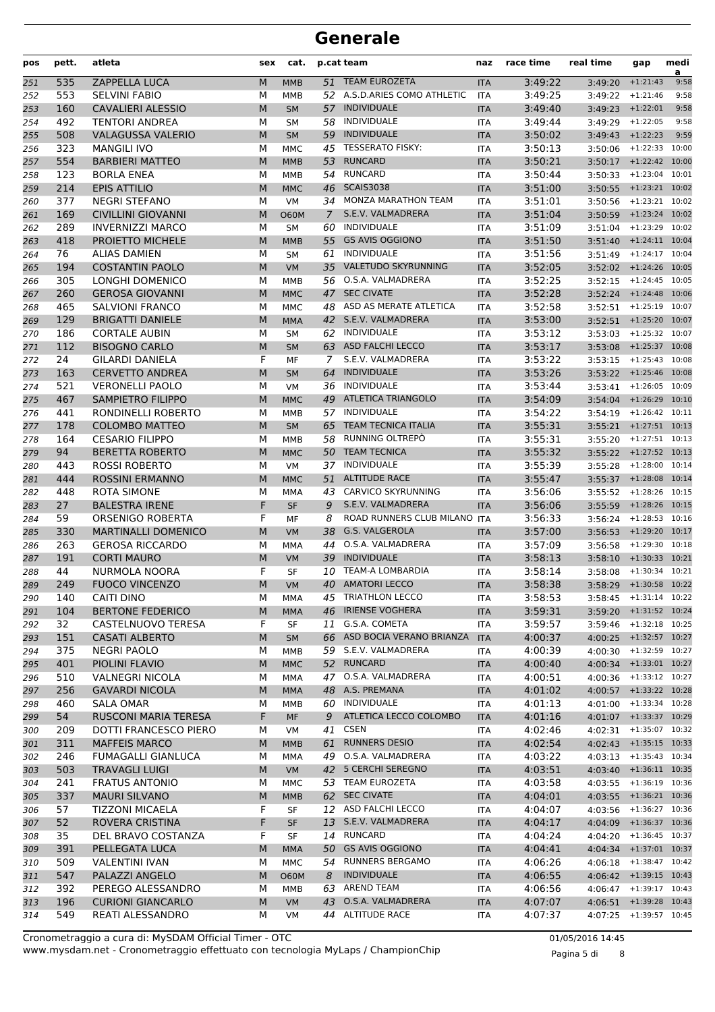| pos        | pett.      | atleta                                            | sex    | cat.                     |                      | p.cat team                                     | naz                      | race time          | real time                    | gap                                          | medi<br>a |
|------------|------------|---------------------------------------------------|--------|--------------------------|----------------------|------------------------------------------------|--------------------------|--------------------|------------------------------|----------------------------------------------|-----------|
| 251        | 535        | ZAPPELLA LUCA                                     | M      | <b>MMB</b>               |                      | 51 TEAM EUROZETA                               | <b>ITA</b>               | 3:49:22            | 3:49:20                      | $+1:21:43$                                   | 9:58      |
| 252        | 553        | <b>SELVINI FABIO</b>                              | М      | <b>MMB</b>               |                      | 52 A.S.D.ARIES COMO ATHLETIC                   | <b>ITA</b>               | 3:49:25            |                              | $3:49:22 + 1:21:46$                          | 9:58      |
| 253        | 160        | <b>CAVALIERI ALESSIO</b>                          | M      | <b>SM</b>                | 57                   | <b>INDIVIDUALE</b>                             | <b>ITA</b>               | 3:49:40            |                              | $3:49:23 + 1:22:01$                          | 9:58      |
| 254        | 492        | <b>TENTORI ANDREA</b>                             | М      | <b>SM</b>                | 58                   | <b>INDIVIDUALE</b>                             | <b>ITA</b>               | 3:49:44            | 3:49:29                      | $+1:22:05$                                   | 9:58      |
| 255        | 508        | <b>VALAGUSSA VALERIO</b>                          | M      | <b>SM</b>                | 59                   | <b>INDIVIDUALE</b>                             | <b>ITA</b>               | 3:50:02            |                              | $3:49:43$ +1:22:23                           | 9:59      |
| 256        | 323        | <b>MANGILI IVO</b>                                | М      | <b>MMC</b>               |                      | 45 TESSERATO FISKY:                            | <b>ITA</b>               | 3:50:13            |                              | 3:50:06 +1:22:33 10:00                       |           |
| 257        | 554        | <b>BARBIERI MATTEO</b>                            | M      | <b>MMB</b>               | 53                   | <b>RUNCARD</b>                                 | <b>ITA</b>               | 3:50:21            |                              | $3:50:17$ +1:22:42                           | 10:00     |
| 258        | 123        | <b>BORLA ENEA</b>                                 | М      | <b>MMB</b>               |                      | 54 RUNCARD                                     | <b>ITA</b>               | 3:50:44            |                              | 3:50:33 +1:23:04 10:01                       |           |
| 259        | 214        | <b>EPIS ATTILIO</b>                               | M      | <b>MMC</b>               | 46                   | <b>SCAIS3038</b><br><b>MONZA MARATHON TEAM</b> | <b>ITA</b>               | 3:51:00            |                              | $3:50:55$ +1:23:21 10:02                     |           |
| 260<br>261 | 377<br>169 | <b>NEGRI STEFANO</b><br><b>CIVILLINI GIOVANNI</b> | M<br>M | <b>VM</b><br><b>O60M</b> | 34<br>$\overline{7}$ | S.E.V. VALMADRERA                              | <b>ITA</b><br><b>ITA</b> | 3:51:01<br>3:51:04 | 3:50:56                      | $+1:23:21$ 10:02<br>3:50:59 +1:23:24 10:02   |           |
| 262        | 289        | <b>INVERNIZZI MARCO</b>                           | М      | <b>SM</b>                | 60                   | INDIVIDUALE                                    | <b>ITA</b>               | 3:51:09            | 3:51:04                      | $+1:23:29$ 10:02                             |           |
| 263        | 418        | PROIETTO MICHELE                                  | M      | <b>MMB</b>               | 55                   | <b>GS AVIS OGGIONO</b>                         | <b>ITA</b>               | 3:51:50            | 3:51:40                      | $+1:24:11$ 10:04                             |           |
| 264        | 76         | <b>ALIAS DAMIEN</b>                               | М      | <b>SM</b>                | 61                   | INDIVIDUALE                                    | <b>ITA</b>               | 3:51:56            | 3:51:49                      | $+1:24:17$ 10:04                             |           |
| 265        | 194        | <b>COSTANTIN PAOLO</b>                            | M      | <b>VM</b>                |                      | 35 VALETUDO SKYRUNNING                         | <b>ITA</b>               | 3:52:05            |                              | $3:52:02$ +1:24:26                           | 10:05     |
| 266        | 305        | LONGHI DOMENICO                                   | м      | <b>MMB</b>               |                      | 56 O.S.A. VALMADRERA                           | <b>ITA</b>               | 3:52:25            | 3:52:15                      | $+1:24:45$ 10:05                             |           |
| 267        | 260        | <b>GEROSA GIOVANNI</b>                            | M      | <b>MMC</b>               | 47                   | <b>SEC CIVATE</b>                              | <b>ITA</b>               | 3:52:28            |                              | $3:52:24$ +1:24:48 10:06                     |           |
| 268        | 465        | <b>SALVIONI FRANCO</b>                            | М      | <b>MMC</b>               |                      | 48 ASD AS MERATE ATLETICA                      | <b>ITA</b>               | 3:52:58            |                              | 3:52:51 +1:25:19 10:07                       |           |
| 269        | 129        | <b>BRIGATTI DANIELE</b>                           | M      | <b>MMA</b>               |                      | 42 S.E.V. VALMADRERA                           | <b>ITA</b>               | 3:53:00            |                              | $3:52:51$ +1:25:20                           | 10:07     |
| 270        | 186        | <b>CORTALE AUBIN</b>                              | М      | <b>SM</b>                |                      | 62 INDIVIDUALE                                 | <b>ITA</b>               | 3:53:12            |                              | 3:53:03 +1:25:32 10:07                       |           |
| 271        | 112        | <b>BISOGNO CARLO</b>                              | M      | <b>SM</b>                |                      | 63 ASD FALCHI LECCO                            | <b>ITA</b>               | 3:53:17            |                              | $3:53:08$ +1:25:37                           | 10:08     |
| 272        | 24         | <b>GILARDI DANIELA</b>                            | F      | MF                       | 7                    | S.E.V. VALMADRERA                              | ITA                      | 3:53:22            | 3:53:15                      | $+1:25:43$ 10:08                             |           |
| 273        | 163        | <b>CERVETTO ANDREA</b>                            | M      | <b>SM</b>                | 64                   | <b>INDIVIDUALE</b>                             | <b>ITA</b>               | 3:53:26            |                              | 3:53:22 +1:25:46 10:08                       |           |
| 274        | 521        | <b>VERONELLI PAOLO</b>                            | М      | <b>VM</b>                |                      | 36 INDIVIDUALE<br>49 ATLETICA TRIANGOLO        | <b>ITA</b>               | 3:53:44            |                              | $3:53:41$ +1:26:05 10:09<br>$+1:26:29$ 10:10 |           |
| 275<br>276 | 467<br>441 | <b>SAMPIETRO FILIPPO</b><br>RONDINELLI ROBERTO    | M<br>М | <b>MMC</b><br><b>MMB</b> |                      | 57 INDIVIDUALE                                 | <b>ITA</b><br><b>ITA</b> | 3:54:09<br>3:54:22 | 3:54:04                      | 3:54:19 +1:26:42 10:11                       |           |
| 277        | 178        | <b>COLOMBO MATTEO</b>                             | M      | <b>SM</b>                | 65                   | <b>TEAM TECNICA ITALIA</b>                     | <b>ITA</b>               | 3:55:31            |                              | $3:55:21$ +1:27:51 10:13                     |           |
| 278        | 164        | <b>CESARIO FILIPPO</b>                            | м      | MMB                      | 58                   | RUNNING OLTREPO                                | ITA                      | 3:55:31            | 3:55:20                      | $+1:27:51$ 10:13                             |           |
| 279        | 94         | <b>BERETTA ROBERTO</b>                            | M      | <b>MMC</b>               |                      | 50 TEAM TECNICA                                | <b>ITA</b>               | 3:55:32            |                              | $3:55:22$ +1:27:52 10:13                     |           |
| 280        | 443        | <b>ROSSI ROBERTO</b>                              | М      | <b>VM</b>                |                      | 37 INDIVIDUALE                                 | <b>ITA</b>               | 3:55:39            | 3:55:28                      | $+1:28:00$ 10:14                             |           |
| 281        | 444        | <b>ROSSINI ERMANNO</b>                            | M      | <b>MMC</b>               | 51                   | <b>ALTITUDE RACE</b>                           | <b>ITA</b>               | 3:55:47            |                              | $3:55:37$ +1:28:08                           | 10:14     |
| 282        | 448        | <b>ROTA SIMONE</b>                                | М      | MMA                      |                      | 43 CARVICO SKYRUNNING                          | <b>ITA</b>               | 3:56:06            |                              | 3:55:52 +1:28:26 10:15                       |           |
| 283        | 27         | <b>BALESTRA IRENE</b>                             | F      | <b>SF</b>                | 9                    | S.E.V. VALMADRERA                              | <b>ITA</b>               | 3:56:06            |                              | $3:55:59$ +1:28:26 10:15                     |           |
| 284        | 59         | <b>ORSENIGO ROBERTA</b>                           | F      | МF                       | 8                    | ROAD RUNNERS CLUB MILANO                       | <b>ITA</b>               | 3:56:33            | 3:56:24                      | $+1:28:53$                                   | 10:16     |
| 285        | 330        | <b>MARTINALLI DOMENICO</b>                        | M      | VM                       | 38                   | G.S. VALGEROLA                                 | <b>ITA</b>               | 3:57:00            | 3:56:53                      | $+1:29:20$ 10:17                             |           |
| 286        | 263        | <b>GEROSA RICCARDO</b>                            | М      | <b>MMA</b>               | 44                   | O.S.A. VALMADRERA                              | <b>ITA</b>               | 3:57:09            | 3:56:58                      | $+1:29:30$ 10:18                             |           |
| 287        | 191        | <b>CORTI MAURO</b>                                | M      | VM                       | 39                   | <b>INDIVIDUALE</b><br><b>TEAM-A LOMBARDIA</b>  | <b>ITA</b>               | 3:58:13            | 3:58:10                      | $+1:30:33$                                   | 10:21     |
| 288<br>289 | 44<br>249  | NURMOLA NOORA<br><b>FUOCO VINCENZO</b>            | F<br>M | <b>SF</b><br><b>VM</b>   | 10                   | 40 AMATORI LECCO                               | <b>ITA</b><br><b>ITA</b> | 3:58:14<br>3:58:38 | 3:58:08                      | $+1:30:34$ 10:21<br>3:58:29 +1:30:58 10:22   |           |
| 290        | 140        | CAITI DINO                                        | М      | MMA                      |                      | 45 TRIATHLON LECCO                             | ITA                      | 3:58:53            |                              | $3:58:45$ +1:31:14 10:22                     |           |
| 291        | 104        | <b>BERTONE FEDERICO</b>                           | M      | <b>MMA</b>               | 46                   | <b>IRIENSE VOGHERA</b>                         | <b>ITA</b>               | 3:59:31            |                              | 3:59:20 +1:31:52 10:24                       |           |
| 292        | 32         | CASTELNUOVO TERESA                                | F      | SF                       | 11                   | G.S.A. COMETA                                  | ITA                      | 3:59:57            |                              | $3:59:46$ +1:32:18 10:25                     |           |
| 293        | 151        | <b>CASATI ALBERTO</b>                             | М      | <b>SM</b>                |                      | 66 ASD BOCIA VERANO BRIANZA                    | <b>ITA</b>               | 4:00:37            |                              | 4:00:25 +1:32:57 10:27                       |           |
| 294        | 375        | <b>NEGRI PAOLO</b>                                | М      | MMB                      |                      | 59 S.E.V. VALMADRERA                           | ITA                      | 4:00:39            |                              | $4:00:30$ $+1:32:59$ $10:27$                 |           |
| 295        | 401        | PIOLINI FLAVIO                                    | M      | <b>MMC</b>               |                      | 52 RUNCARD                                     | <b>ITA</b>               | 4:00:40            |                              | 4:00:34 +1:33:01 10:27                       |           |
| 296        | 510        | <b>VALNEGRI NICOLA</b>                            | М      | MMA                      | 47                   | O.S.A. VALMADRERA                              | <b>ITA</b>               | 4:00:51            |                              | $4:00:36$ $+1:33:12$ $10:27$                 |           |
| 297        | 256        | <b>GAVARDI NICOLA</b>                             | M      | <b>MMA</b>               |                      | 48 A.S. PREMANA                                | <b>ITA</b>               | 4:01:02            |                              | 4:00:57 +1:33:22 10:28                       |           |
| 298        | 460        | SALA OMAR                                         | М      | MMB                      |                      | 60 INDIVIDUALE                                 | ITA                      | 4:01:13            |                              | 4:01:00 +1:33:34 10:28                       |           |
| 299        | 54         | RUSCONI MARIA TERESA                              | F      | MF                       | 9                    | ATLETICA LECCO COLOMBO                         | <b>ITA</b>               | 4:01:16            |                              | 4:01:07 +1:33:37 10:29                       |           |
| 300        | 209        | DOTTI FRANCESCO PIERO                             | м      | VM                       |                      | 41 CSEN                                        | ITA                      | 4:02:46            | $4:02:31$ $+1:35:07$ $10:32$ |                                              |           |
| 301        | 311<br>246 | <b>MAFFEIS MARCO</b><br><b>FUMAGALLI GIANLUCA</b> | M      | <b>MMB</b>               | 61<br>49             | <b>RUNNERS DESIO</b><br>O.S.A. VALMADRERA      | <b>ITA</b>               | 4:02:54<br>4:03:22 | 4:02:43 +1:35:15 10:33       | $+1:35:43$ 10:34                             |           |
| 302<br>303 | 503        | <b>TRAVAGLI LUIGI</b>                             | М<br>M | MMA<br><b>VM</b>         |                      | 42 5 CERCHI SEREGNO                            | ITA<br><b>ITA</b>        | 4:03:51            | 4:03:13                      | 4:03:40 +1:36:11 10:35                       |           |
| 304        | 241        | <b>FRATUS ANTONIO</b>                             | М      | MMC                      |                      | 53 TEAM EUROZETA                               | ITA                      | 4:03:58            |                              | $4:03:55$ $+1:36:19$ $10:36$                 |           |
| 305        | 337        | <b>MAURI SILVANO</b>                              | M      | <b>MMB</b>               |                      | 62 SEC CIVATE                                  | <b>ITA</b>               | 4:04:01            |                              | 4:03:55 +1:36:21 10:36                       |           |
| 306        | 57         | <b>TIZZONI MICAELA</b>                            | F      | SF                       |                      | 12 ASD FALCHI LECCO                            | <b>ITA</b>               | 4:04:07            | 4:03:56                      | $+1:36:27$ 10:36                             |           |
| 307        | 52         | ROVERA CRISTINA                                   | F      | <b>SF</b>                |                      | 13 S.E.V. VALMADRERA                           | <b>ITA</b>               | 4:04:17            |                              | 4:04:09 +1:36:37 10:36                       |           |
| 308        | 35         | DEL BRAVO COSTANZA                                | F      | SF                       | 14                   | <b>RUNCARD</b>                                 | <b>ITA</b>               | 4:04:24            | 4:04:20                      | $+1:36:45$ 10:37                             |           |
| 309        | 391        | PELLEGATA LUCA                                    | M      | <b>MMA</b>               |                      | 50 GS AVIS OGGIONO                             | <b>ITA</b>               | 4:04:41            |                              | 4:04:34 +1:37:01 10:37                       |           |
| 310        | 509        | <b>VALENTINI IVAN</b>                             | М      | MMC                      |                      | 54 RUNNERS BERGAMO                             | ITA                      | 4:06:26            |                              | $4:06:18$ +1:38:47 10:42                     |           |
| 311        | 547        | PALAZZI ANGELO                                    | M      | <b>O60M</b>              | 8                    | <b>INDIVIDUALE</b>                             | <b>ITA</b>               | 4:06:55            |                              | 4:06:42 +1:39:15 10:43                       |           |
| 312        | 392        | PEREGO ALESSANDRO                                 | М      | MMB                      |                      | 63 AREND TEAM                                  | <b>ITA</b>               | 4:06:56            |                              | $4:06:47$ $+1:39:17$ $10:43$                 |           |
| 313        | 196        | <b>CURIONI GIANCARLO</b>                          | M      | <b>VM</b>                |                      | 43 O.S.A. VALMADRERA                           | <b>ITA</b>               | 4:07:07            |                              | 4:06:51 +1:39:28 10:43                       |           |
| 314        | 549        | REATI ALESSANDRO                                  | М      | VM                       |                      | 44 ALTITUDE RACE                               | ITA                      | 4:07:37            |                              | 4:07:25 +1:39:57 10:45                       |           |

www.mysdam.net - Cronometraggio effettuato con tecnologia MyLaps / ChampionChip Cronometraggio a cura di: MySDAM Official Timer - OTC 01/05/2016 14:45

Pagina 5 di 8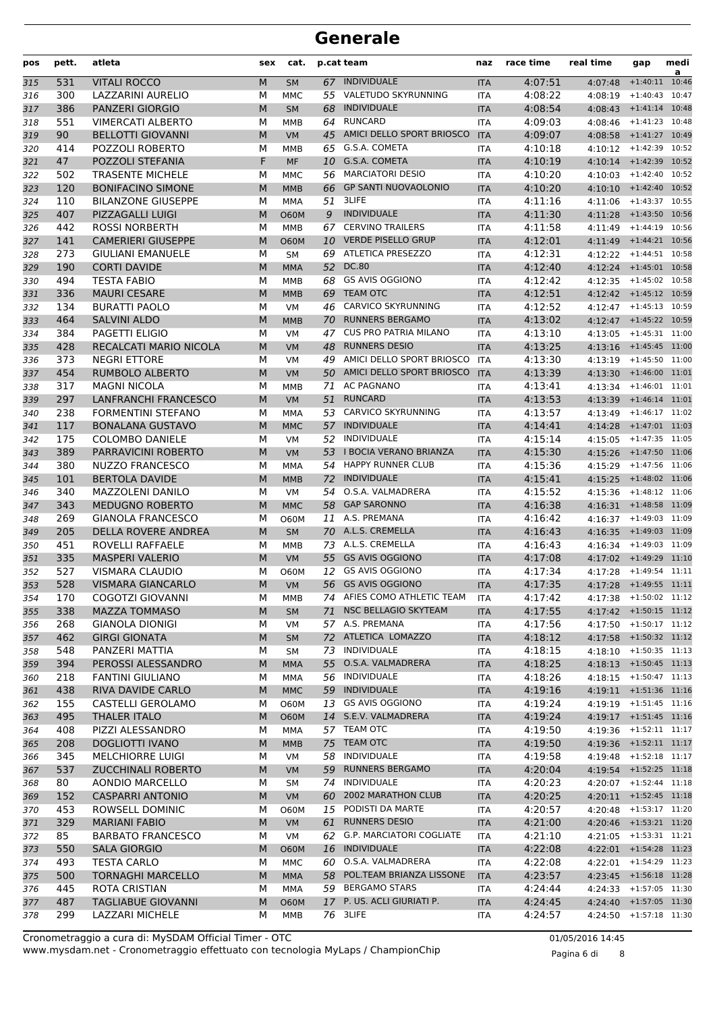| pos | pett. | atleta                      | sex | cat.        |    | p.cat team                   | naz        | race time | real time                    | gap              | medi<br>a |
|-----|-------|-----------------------------|-----|-------------|----|------------------------------|------------|-----------|------------------------------|------------------|-----------|
| 315 | 531   | <b>VITALI ROCCO</b>         | M   | <b>SM</b>   |    | 67 INDIVIDUALE               | <b>ITA</b> | 4:07:51   | 4:07:48                      | $+1:40:11$ 10:46 |           |
| 316 | 300   | LAZZARINI AURELIO           | М   | <b>MMC</b>  |    | 55 VALETUDO SKYRUNNING       | <b>ITA</b> | 4:08:22   | 4:08:19                      | $+1:40:43$       | 10:47     |
| 317 | 386   | <b>PANZERI GIORGIO</b>      | M   | <b>SM</b>   | 68 | <b>INDIVIDUALE</b>           | <b>ITA</b> | 4:08:54   | 4:08:43                      | $+1:41:14$       | 10:48     |
| 318 | 551   | <b>VIMERCATI ALBERTO</b>    | М   | <b>MMB</b>  | 64 | RUNCARD                      | <b>ITA</b> | 4:09:03   | 4:08:46                      | $+1:41:23$ 10:48 |           |
| 319 | 90    | <b>BELLOTTI GIOVANNI</b>    | M   | <b>VM</b>   |    | 45 AMICI DELLO SPORT BRIOSCO | <b>ITA</b> | 4:09:07   | 4:08:58 +1:41:27 10:49       |                  |           |
| 320 | 414   | POZZOLI ROBERTO             | М   | <b>MMB</b>  |    | 65 G.S.A. COMETA             | <b>ITA</b> | 4:10:18   | 4:10:12 +1:42:39 10:52       |                  |           |
| 321 | 47    | <b>POZZOLI STEFANIA</b>     | F   | <b>MF</b>   |    | 10 G.S.A. COMETA             | <b>ITA</b> | 4:10:19   | 4:10:14 +1:42:39 10:52       |                  |           |
| 322 | 502   | <b>TRASENTE MICHELE</b>     | М   | <b>MMC</b>  |    | 56 MARCIATORI DESIO          | <b>ITA</b> | 4:10:20   | 4:10:03                      | $+1:42:40$ 10:52 |           |
| 323 | 120   | <b>BONIFACINO SIMONE</b>    | M   | <b>MMB</b>  | 66 | <b>GP SANTI NUOVAOLONIO</b>  | <b>ITA</b> | 4:10:20   | 4:10:10                      | $+1:42:40$ 10:52 |           |
| 324 | 110   | <b>BILANZONE GIUSEPPE</b>   | М   | MMA         | 51 | 3LIFE                        | <b>ITA</b> | 4:11:16   | 4:11:06                      | $+1:43:37$ 10:55 |           |
| 325 | 407   | PIZZAGALLI LUIGI            | M   | <b>O60M</b> | 9  | <b>INDIVIDUALE</b>           | <b>ITA</b> | 4:11:30   | 4:11:28                      | +1:43:50 10:56   |           |
| 326 | 442   | <b>ROSSI NORBERTH</b>       | м   | <b>MMB</b>  | 67 | <b>CERVINO TRAILERS</b>      | <b>ITA</b> | 4:11:58   | 4:11:49                      | $+1:44:19$ 10:56 |           |
| 327 | 141   | <b>CAMERIERI GIUSEPPE</b>   | M   | <b>O60M</b> |    | 10 VERDE PISELLO GRUP        | <b>ITA</b> | 4:12:01   | 4:11:49 +1:44:21 10:56       |                  |           |
| 328 | 273   | <b>GIULIANI EMANUELE</b>    | М   | <b>SM</b>   |    | 69 ATLETICA PRESEZZO         | <b>ITA</b> | 4:12:31   | 4:12:22                      | $+1:44:51$ 10:58 |           |
| 329 | 190   | <b>CORTI DAVIDE</b>         | M   | <b>MMA</b>  | 52 | DC.80                        | <b>ITA</b> | 4:12:40   | 4:12:24                      | $+1:45:01$ 10:58 |           |
| 330 | 494   | <b>TESTA FABIO</b>          | М   | <b>MMB</b>  | 68 | <b>GS AVIS OGGIONO</b>       | <b>ITA</b> | 4:12:42   | 4:12:35                      | $+1:45:02$ 10:58 |           |
| 331 | 336   | <b>MAURI CESARE</b>         | M   | <b>MMB</b>  | 69 | <b>TEAM OTC</b>              | <b>ITA</b> | 4:12:51   | 4:12:42 +1:45:12 10:59       |                  |           |
| 332 | 134   | <b>BURATTI PAOLO</b>        | М   | <b>VM</b>   |    | 46 CARVICO SKYRUNNING        | <b>ITA</b> | 4:12:52   | 4:12:47 +1:45:13 10:59       |                  |           |
| 333 | 464   | <b>SALVINI ALDO</b>         | M   | <b>MMB</b>  |    | 70 RUNNERS BERGAMO           | <b>ITA</b> | 4:13:02   | 4:12:47 +1:45:22 10:59       |                  |           |
| 334 | 384   | PAGETTI ELIGIO              | М   | <b>VM</b>   | 47 | <b>CUS PRO PATRIA MILANO</b> | <b>ITA</b> | 4:13:10   | 4:13:05                      | $+1:45:31$ 11:00 |           |
| 335 | 428   | RECALCATI MARIO NICOLA      | M   | <b>VM</b>   | 48 | <b>RUNNERS DESIO</b>         | <b>ITA</b> | 4:13:25   | 4:13:16                      | $+1:45:45$ 11:00 |           |
| 336 | 373   | <b>NEGRI ETTORE</b>         | М   | <b>VM</b>   | 49 | AMICI DELLO SPORT BRIOSCO    | <b>ITA</b> | 4:13:30   | 4:13:19                      | $+1:45:50$ 11:00 |           |
| 337 | 454   | RUMBOLO ALBERTO             | M   | VM          |    | 50 AMICI DELLO SPORT BRIOSCO | <b>ITA</b> | 4:13:39   | 4:13:30 +1:46:00 11:01       |                  |           |
| 338 | 317   | <b>MAGNI NICOLA</b>         | м   | MMB         | 71 | <b>AC PAGNANO</b>            | <b>ITA</b> | 4:13:41   | 4:13:34 +1:46:01 11:01       |                  |           |
| 339 | 297   | <b>LANFRANCHI FRANCESCO</b> | M   | <b>VM</b>   | 51 | <b>RUNCARD</b>               | <b>ITA</b> | 4:13:53   | 4:13:39 +1:46:14 11:01       |                  |           |
| 340 | 238   | <b>FORMENTINI STEFANO</b>   | М   | <b>MMA</b>  | 53 | CARVICO SKYRUNNING           | <b>ITA</b> | 4:13:57   | 4:13:49                      | $+1:46:17$ 11:02 |           |
| 341 | 117   | <b>BONALANA GUSTAVO</b>     | M   | <b>MMC</b>  | 57 | <b>INDIVIDUALE</b>           | <b>ITA</b> | 4:14:41   | 4:14:28                      | $+1:47:01$ 11:03 |           |
| 342 | 175   | <b>COLOMBO DANIELE</b>      | М   | <b>VM</b>   | 52 | INDIVIDUALE                  | <b>ITA</b> | 4:15:14   | 4:15:05                      | $+1:47:35$ 11:05 |           |
| 343 | 389   | PARRAVICINI ROBERTO         | M   | <b>VM</b>   |    | 53 I BOCIA VERANO BRIANZA    | <b>ITA</b> | 4:15:30   | 4:15:26 +1:47:50 11:06       |                  |           |
| 344 | 380   | NUZZO FRANCESCO             | М   | MMA         |    | 54 HAPPY RUNNER CLUB         | <b>ITA</b> | 4:15:36   | 4:15:29 +1:47:56 11:06       |                  |           |
| 345 | 101   | <b>BERTOLA DAVIDE</b>       | M   | <b>MMB</b>  |    | 72 INDIVIDUALE               | <b>ITA</b> | 4:15:41   | 4:15:25                      | +1:48:02 11:06   |           |
| 346 | 340   | MAZZOLENI DANILO            | М   | <b>VM</b>   | 54 | O.S.A. VALMADRERA            | <b>ITA</b> | 4:15:52   | 4:15:36                      | $+1:48:12$ 11:06 |           |
| 347 | 343   | <b>MEDUGNO ROBERTO</b>      | M   | <b>MMC</b>  | 58 | <b>GAP SARONNO</b>           | <b>ITA</b> | 4:16:38   | 4:16:31 +1:48:58 11:09       |                  |           |
| 348 | 269   | <b>GIANOLA FRANCESCO</b>    | M   | <b>O60M</b> | 11 | A.S. PREMANA                 | <b>ITA</b> | 4:16:42   | 4:16:37                      | $+1:49:03$ 11:09 |           |
| 349 | 205   | <b>DELLA ROVERE ANDREA</b>  | M   | <b>SM</b>   |    | 70 A.L.S. CREMELLA           | <b>ITA</b> | 4:16:43   | 4:16:35                      | $+1:49:03$ 11:09 |           |
| 350 | 451   | ROVELLI RAFFAELE            | М   | <b>MMB</b>  |    | 73 A.L.S. CREMELLA           | <b>ITA</b> | 4:16:43   | 4:16:34 +1:49:03 11:09       |                  |           |
| 351 | 335   | <b>MASPERI VALERIO</b>      | M   | <b>VM</b>   |    | 55 GS AVIS OGGIONO           | <b>ITA</b> | 4:17:08   | 4:17:02 +1:49:29 11:10       |                  |           |
| 352 | 527   | <b>VISMARA CLAUDIO</b>      | М   | <b>O60M</b> | 12 | <b>GS AVIS OGGIONO</b>       | <b>ITA</b> | 4:17:34   | 4:17:28                      | $+1:49:54$ 11:11 |           |
| 353 | 528   | <b>VISMARA GIANCARLO</b>    | M   | <b>VM</b>   |    | 56 GS AVIS OGGIONO           | <b>ITA</b> | 4:17:35   | 4:17:28 +1:49:55 11:11       |                  |           |
| 354 | 170   | <b>COGOTZI GIOVANNI</b>     | М   | MMB         |    | 74 AFIES COMO ATHLETIC TEAM  | ITA        | 4:17:42   | $4:17:38$ +1:50:02 11:12     |                  |           |
| 355 | 338   | <b>MAZZA TOMMASO</b>        | M   | SM          |    | 71 NSC BELLAGIO SKYTEAM      | <b>ITA</b> | 4:17:55   | 4:17:42 +1:50:15 11:12       |                  |           |
| 356 | 268   | <b>GIANOLA DIONIGI</b>      | м   | VM          |    | 57 A.S. PREMANA              | ITA        | 4:17:56   | 4:17:50 +1:50:17 11:12       |                  |           |
| 357 | 462   | <b>GIRGI GIONATA</b>        | M   | <b>SM</b>   |    | 72 ATLETICA LOMAZZO          | <b>ITA</b> | 4:18:12   | 4:17:58 +1:50:32 11:12       |                  |           |
| 358 | 548   | PANZERI MATTIA              | М   | <b>SM</b>   |    | 73 INDIVIDUALE               | ITA        | 4:18:15   | $4:18:10$ +1:50:35 11:13     |                  |           |
| 359 | 394   | PEROSSI ALESSANDRO          | M   | <b>MMA</b>  |    | 55 O.S.A. VALMADRERA         | <b>ITA</b> | 4:18:25   | 4:18:13 +1:50:45 11:13       |                  |           |
| 360 | 218   | <b>FANTINI GIULIANO</b>     | М   | MMA         |    | 56 INDIVIDUALE               | ITA        | 4:18:26   | 4:18:15 +1:50:47 11:13       |                  |           |
| 361 | 438   | RIVA DAVIDE CARLO           | M   | <b>MMC</b>  |    | 59 INDIVIDUALE               | <b>ITA</b> | 4:19:16   | 4:19:11 +1:51:36 11:16       |                  |           |
| 362 | 155   | CASTELLI GEROLAMO           | М   | <b>O60M</b> |    | 13 GS AVIS OGGIONO           | ITA        | 4:19:24   | $4:19:19$ $+1:51:45$ $11:16$ |                  |           |
| 363 | 495   | <b>THALER ITALO</b>         | M   | <b>O60M</b> |    | 14 S.E.V. VALMADRERA         | <b>ITA</b> | 4:19:24   | 4:19:17 +1:51:45 11:16       |                  |           |
| 364 | 408   | PIZZI ALESSANDRO            | М   | MMA         |    | 57 TEAM OTC                  | ITA        | 4:19:50   | $4:19:36$ +1:52:11 11:17     |                  |           |
| 365 | 208   | <b>DOGLIOTTI IVANO</b>      | M   | <b>MMB</b>  |    | 75 TEAM OTC                  | <b>ITA</b> | 4:19:50   | 4:19:36 +1:52:11 11:17       |                  |           |
| 366 | 345   | <b>MELCHIORRE LUIGI</b>     | М   | VM          |    | 58 INDIVIDUALE               | ITA        | 4:19:58   | 4:19:48                      | $+1:52:18$ 11:17 |           |
| 367 | 537   | <b>ZUCCHINALI ROBERTO</b>   | M   | <b>VM</b>   |    | 59 RUNNERS BERGAMO           | <b>ITA</b> | 4:20:04   | 4:19:54 +1:52:25 11:18       |                  |           |
| 368 | 80    | AONDIO MARCELLO             | м   | SM          |    | 74 INDIVIDUALE               | ITA        | 4:20:23   | $4:20:07$ $+1:52:44$ $11:18$ |                  |           |
| 369 | 152   | <b>CASPARRI ANTONIO</b>     | M   | <b>VM</b>   |    | 60 2002 MARATHON CLUB        | <b>ITA</b> | 4:20:25   | 4:20:11 +1:52:45 11:18       |                  |           |
| 370 | 453   | ROWSELL DOMINIC             | м   | 060M        |    | 15 PODISTI DA MARTE          | ITA        | 4:20:57   | 4:20:48                      | $+1:53:17$ 11:20 |           |
| 371 | 329   | <b>MARIANI FABIO</b>        | M   | <b>VM</b>   | 61 | <b>RUNNERS DESIO</b>         | <b>ITA</b> | 4:21:00   | 4:20:46 +1:53:21 11:20       |                  |           |
| 372 | 85    | <b>BARBATO FRANCESCO</b>    | М   | VM          |    | 62 G.P. MARCIATORI COGLIATE  | ITA        | 4:21:10   | 4:21:05 +1:53:31 11:21       |                  |           |
| 373 | 550   | <b>SALA GIORGIO</b>         | M   | <b>O60M</b> |    | 16 INDIVIDUALE               | <b>ITA</b> | 4:22:08   | 4:22:01 +1:54:28 11:23       |                  |           |
| 374 | 493   | <b>TESTA CARLO</b>          | М   | MMC         |    | 60 O.S.A. VALMADRERA         | ITA        | 4:22:08   | $4:22:01$ $+1:54:29$ $11:23$ |                  |           |
| 375 | 500   | <b>TORNAGHI MARCELLO</b>    | M   | <b>MMA</b>  |    | 58 POL.TEAM BRIANZA LISSONE  | <b>ITA</b> | 4:23:57   | 4:23:45 +1:56:18 11:28       |                  |           |
| 376 | 445   | ROTA CRISTIAN               | М   | MMA         |    | 59 BERGAMO STARS             | ITA        | 4:24:44   | 4:24:33                      | $+1:57:05$ 11:30 |           |
| 377 | 487   | TAGLIABUE GIOVANNI          | M   | <b>O60M</b> |    | 17 P. US. ACLI GIURIATI P.   | <b>ITA</b> | 4:24:45   | 4:24:40 +1:57:05 11:30       |                  |           |
| 378 | 299   | LAZZARI MICHELE             | М   | MMB         |    | 76 3LIFE                     | ITA        | 4:24:57   | 4:24:50                      | $+1:57:18$ 11:30 |           |

www.mysdam.net - Cronometraggio effettuato con tecnologia MyLaps / ChampionChip Cronometraggio a cura di: MySDAM Official Timer - OTC 01/05/2016 14:45

Pagina 6 di 8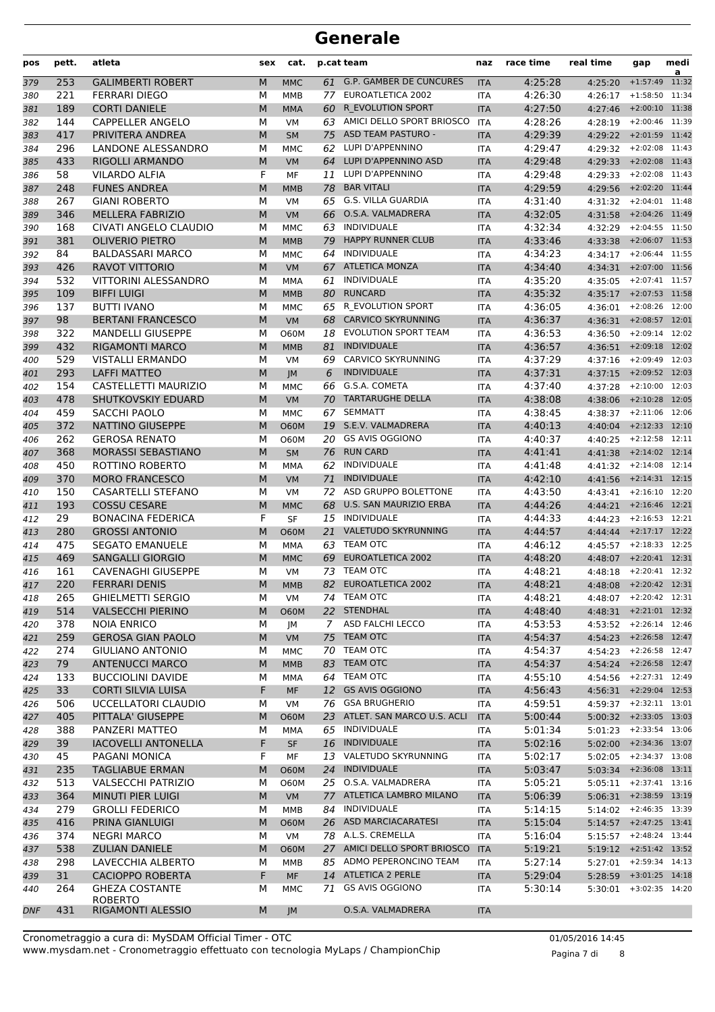| pos        | pett. | atleta                     | sex | cat.        |             | p.cat team                    | naz        | race time | real time                    | gap              | medi<br>a |
|------------|-------|----------------------------|-----|-------------|-------------|-------------------------------|------------|-----------|------------------------------|------------------|-----------|
| 379        | 253   | <b>GALIMBERTI ROBERT</b>   | M   | <b>MMC</b>  |             | 61 G.P. GAMBER DE CUNCURES    | <b>ITA</b> | 4:25:28   | 4:25:20                      | $+1:57:49$       | 11:32     |
| 380        | 221   | <b>FERRARI DIEGO</b>       | М   | MMB         |             | 77 EUROATLETICA 2002          | <b>ITA</b> | 4:26:30   | 4:26:17 +1:58:50 11:34       |                  |           |
| 381        | 189   | <b>CORTI DANIELE</b>       | M   | <b>MMA</b>  | 60          | R EVOLUTION SPORT             | <b>ITA</b> | 4:27:50   | 4:27:46                      | $+2:00:10$ 11:38 |           |
| 382        | 144   | <b>CAPPELLER ANGELO</b>    | М   | <b>VM</b>   |             | 63 AMICI DELLO SPORT BRIOSCO  | <b>ITA</b> | 4:28:26   | 4:28:19                      | $+2:00:46$ 11:39 |           |
| 383        | 417   | PRIVITERA ANDREA           | M   | <b>SM</b>   |             | 75 ASD TEAM PASTURO -         | <b>ITA</b> | 4:29:39   | 4:29:22 +2:01:59 11:42       |                  |           |
| 384        | 296   | LANDONE ALESSANDRO         | М   | <b>MMC</b>  | 62          | LUPI D'APPENNINO              | ITA        | 4:29:47   | 4:29:32                      | $+2:02:08$ 11:43 |           |
| 385        | 433   | <b>RIGOLLI ARMANDO</b>     | M   | <b>VM</b>   |             | 64 LUPI D'APPENNINO ASD       | <b>ITA</b> | 4:29:48   | 4:29:33 +2:02:08 11:43       |                  |           |
| 386        | 58    | <b>VILARDO ALFIA</b>       | F   | MF          | 11          | LUPI D'APPENNINO              | <b>ITA</b> | 4:29:48   | 4:29:33                      | $+2:02:08$ 11:43 |           |
| 387        | 248   | <b>FUNES ANDREA</b>        | M   | <b>MMB</b>  | 78          | <b>BAR VITALI</b>             | <b>ITA</b> | 4:29:59   | 4:29:56                      | $+2:02:20$ 11:44 |           |
| 388        | 267   | <b>GIANI ROBERTO</b>       | М   | <b>VM</b>   | 65          | G.S. VILLA GUARDIA            | ITA        | 4:31:40   | 4:31:32                      | $+2:04:01$ 11:48 |           |
| 389        | 346   | <b>MELLERA FABRIZIO</b>    | M   | <b>VM</b>   | 66          | O.S.A. VALMADRERA             | <b>ITA</b> | 4:32:05   | 4:31:58                      | $+2:04:26$ 11:49 |           |
| 390        | 168   | CIVATI ANGELO CLAUDIO      | М   | <b>MMC</b>  | 63          | INDIVIDUALE                   | <b>ITA</b> | 4:32:34   | 4:32:29                      | $+2:04:55$ 11:50 |           |
| 391        | 381   | <b>OLIVERIO PIETRO</b>     | M   | <b>MMB</b>  | 79          | <b>HAPPY RUNNER CLUB</b>      | <b>ITA</b> | 4:33:46   | 4:33:38                      | $+2:06:07$ 11:53 |           |
| 392        | 84    | <b>BALDASSARI MARCO</b>    | М   | <b>MMC</b>  | 64          | INDIVIDUALE                   | <b>ITA</b> | 4:34:23   | 4:34:17 +2:06:44 11:55       |                  |           |
| 393        | 426   | <b>RAVOT VITTORIO</b>      | M   | <b>VM</b>   | 67          | <b>ATLETICA MONZA</b>         | <b>ITA</b> | 4:34:40   | 4:34:31                      | +2:07:00 11:56   |           |
| 394        | 532   | VITTORINI ALESSANDRO       | М   | MMA         | 61          | INDIVIDUALE                   | <b>ITA</b> | 4:35:20   | 4:35:05                      | $+2:07:41$ 11:57 |           |
| 395        | 109   | <b>BIFFI LUIGI</b>         | M   | <b>MMB</b>  | 80          | <b>RUNCARD</b>                | <b>ITA</b> | 4:35:32   | 4:35:17 +2:07:53 11:58       |                  |           |
| 396        | 137   | <b>BUTTI IVANO</b>         | М   | <b>MMC</b>  |             | 65 R EVOLUTION SPORT          | <b>ITA</b> | 4:36:05   | 4:36:01                      | $+2:08:26$ 12:00 |           |
| 397        | 98    | <b>BERTANI FRANCESCO</b>   | M   | <b>VM</b>   |             | 68 CARVICO SKYRUNNING         | <b>ITA</b> | 4:36:37   | $4:36:31$ +2:08:57 12:01     |                  |           |
| 398        | 322   | <b>MANDELLI GIUSEPPE</b>   | М   | <b>O60M</b> | 18          | <b>EVOLUTION SPORT TEAM</b>   | ITA        | 4:36:53   | 4:36:50                      | $+2:09:14$ 12:02 |           |
|            | 432   | <b>RIGAMONTI MARCO</b>     | M   |             | 81          | <b>INDIVIDUALE</b>            |            | 4:36:57   |                              | $+2:09:18$ 12:02 |           |
| 399        |       |                            |     | <b>MMB</b>  |             | CARVICO SKYRUNNING            | <b>ITA</b> |           | 4:36:51                      | $+2:09:49$ 12:03 |           |
| 400        | 529   | <b>VISTALLI ERMANDO</b>    | M   | <b>VM</b>   | 69          |                               | ITA        | 4:37:29   | 4:37:16                      |                  |           |
| 401        | 293   | <b>LAFFI MATTEO</b>        | M   | JM          | 6           | <b>INDIVIDUALE</b>            | <b>ITA</b> | 4:37:31   | 4:37:15                      | $+2:09:52$ 12:03 |           |
| 402        | 154   | CASTELLETTI MAURIZIO       | М   | <b>MMC</b>  | 66          | G.S.A. COMETA                 | <b>ITA</b> | 4:37:40   | 4:37:28                      | $+2:10:00$ 12:03 |           |
| 403        | 478   | SHUTKOVSKIY EDUARD         | M   | <b>VM</b>   | 70          | <b>TARTARUGHE DELLA</b>       | <b>ITA</b> | 4:38:08   | 4:38:06                      | $+2:10:28$ 12:05 |           |
| 404        | 459   | SACCHI PAOLO               | М   | <b>MMC</b>  | 67          | <b>SEMMATT</b>                | <b>ITA</b> | 4:38:45   | 4:38:37 +2:11:06 12:06       |                  |           |
| 405        | 372   | NATTINO GIUSEPPE           | M   | <b>O60M</b> |             | 19 S.E.V. VALMADRERA          | <b>ITA</b> | 4:40:13   | 4:40:04                      | $+2:12:33$ 12:10 |           |
| 406        | 262   | <b>GEROSA RENATO</b>       | М   | <b>O60M</b> | 20.         | <b>GS AVIS OGGIONO</b>        | ITA        | 4:40:37   | 4:40:25                      | $+2:12:58$ 12:11 |           |
| 407        | 368   | <b>MORASSI SEBASTIANO</b>  | M   | <b>SM</b>   | 76          | <b>RUN CARD</b>               | <b>ITA</b> | 4:41:41   | 4:41:38                      | $+2:14:02$ 12:14 |           |
| 408        | 450   | ROTTINO ROBERTO            | М   | MMA         | 62          | INDIVIDUALE                   | <b>ITA</b> | 4:41:48   | 4:41:32                      | $+2:14:08$ 12:14 |           |
| 409        | 370   | <b>MORO FRANCESCO</b>      | M   | <b>VM</b>   | 71          | <b>INDIVIDUALE</b>            | <b>ITA</b> | 4:42:10   | 4:41:56                      | $+2:14:31$ 12:15 |           |
| 410        | 150   | CASARTELLI STEFANO         | М   | <b>VM</b>   | 72          | ASD GRUPPO BOLETTONE          | <b>ITA</b> | 4:43:50   | 4:43:41 +2:16:10 12:20       |                  |           |
| 411        | 193   | <b>COSSU CESARE</b>        | M   | <b>MMC</b>  | 68          | U.S. SAN MAURIZIO ERBA        | <b>ITA</b> | 4:44:26   | 4:44:21                      | $+2:16:46$ 12:21 |           |
| 412        | 29    | <b>BONACINA FEDERICA</b>   | F   | <b>SF</b>   | 15          | INDIVIDUALE                   | ITA        | 4:44:33   | 4:44:23                      | $+2:16:53$ 12:21 |           |
| 413        | 280   | <b>GROSSI ANTONIO</b>      | M   | <b>O60M</b> | 21          | VALETUDO SKYRUNNING           | <b>ITA</b> | 4:44:57   | 4:44:44                      | $+2:17:17$ 12:22 |           |
| 414        | 475   | <b>SEGATO EMANUELE</b>     | М   | MMA         | 63          | <b>TEAM OTC</b>               | <b>ITA</b> | 4:46:12   | 4:45:57                      | $+2:18:33$ 12:25 |           |
| 415        | 469   | <b>SANGALLI GIORGIO</b>    | M   | <b>MMC</b>  |             | 69 EUROATLETICA 2002          | <b>ITA</b> | 4:48:20   | 4:48:07                      | $+2:20:41$ 12:31 |           |
| 416        | 161   | <b>CAVENAGHI GIUSEPPE</b>  | М   | <b>VM</b>   | 73          | <b>TEAM OTC</b>               | ITA        | 4:48:21   | 4:48:18                      | $+2:20:41$ 12:32 |           |
| 417        | 220   | <b>FERRARI DENIS</b>       | M   | <b>MMB</b>  | 82          | EUROATLETICA 2002             | <b>ITA</b> | 4:48:21   | 4:48:08                      | $+2:20:42$ 12:31 |           |
| 418        | 265   | <b>GHIELMETTI SERGIO</b>   | м   | VM          |             | 74 TEAM OTC                   | <b>ITA</b> | 4:48:21   | 4:48:07 +2:20:42 12:31       |                  |           |
| 419        | 514   | <b>VALSECCHI PIERINO</b>   | M   | <b>O60M</b> |             | 22 STENDHAL                   | <b>ITA</b> | 4:48:40   | 4:48:31 +2:21:01 12:32       |                  |           |
| 420        | 378   | <b>NOIA ENRICO</b>         | М   | JМ          | $7^{\circ}$ | ASD FALCHI LECCO              | <b>ITA</b> | 4:53:53   | $4:53:52$ +2:26:14 12:46     |                  |           |
| 421        | 259   | <b>GEROSA GIAN PAOLO</b>   | M   | <b>VM</b>   |             | 75 TEAM OTC                   | <b>ITA</b> | 4:54:37   | 4:54:23 +2:26:58 12:47       |                  |           |
| 422        | 274   | <b>GIULIANO ANTONIO</b>    | М   | <b>MMC</b>  |             | 70 TEAM OTC                   | ITA        | 4:54:37   | $4:54:23$ +2:26:58 12:47     |                  |           |
| 423        | 79    | <b>ANTENUCCI MARCO</b>     | M   | <b>MMB</b>  | 83          | <b>TEAM OTC</b>               | <b>ITA</b> | 4:54:37   | 4:54:24 +2:26:58 12:47       |                  |           |
| 424        | 133   | <b>BUCCIOLINI DAVIDE</b>   | М   | MMA         |             | 64 TEAM OTC                   | ITA        | 4:55:10   | $4:54:56$ $+2:27:31$ $12:49$ |                  |           |
| 425        | 33    | <b>CORTI SILVIA LUISA</b>  | F   | <b>MF</b>   |             | 12 GS AVIS OGGIONO            | <b>ITA</b> | 4:56:43   | 4:56:31 +2:29:04 12:53       |                  |           |
| 426        | 506   | <b>UCCELLATORI CLAUDIO</b> | М   | VM          |             | 76 GSA BRUGHERIO              | <b>ITA</b> | 4:59:51   | $4:59:37$ $+2:32:11$ $13:01$ |                  |           |
| 427        | 405   | PITTALA' GIUSEPPE          | M   | <b>O60M</b> |             | 23 ATLET. SAN MARCO U.S. ACLI | <b>ITA</b> | 5:00:44   | $5:00:32$ +2:33:05 13:03     |                  |           |
| 428        | 388   | PANZERI MATTEO             | М   | MMA         |             | 65 INDIVIDUALE                | ITA        | 5:01:34   | $5:01:23$ +2:33:54 13:06     |                  |           |
| 429        | 39    | <b>IACOVELLI ANTONELLA</b> | F   | <b>SF</b>   |             | 16 INDIVIDUALE                | <b>ITA</b> | 5:02:16   | $5:02:00$ +2:34:36 13:07     |                  |           |
| 430        | 45    | PAGANI MONICA              | F   | МF          |             | 13 VALETUDO SKYRUNNING        | ITA        | 5:02:17   | 5:02:05                      | +2:34:37 13:08   |           |
| 431        | 235   | <b>TAGLIABUE ERMAN</b>     | M   | <b>O60M</b> |             | 24 INDIVIDUALE                | <b>ITA</b> | 5:03:47   | 5:03:34 +2:36:08 13:11       |                  |           |
| 432        | 513   | <b>VALSECCHI PATRIZIO</b>  | м   | 060M        |             | 25 O.S.A. VALMADRERA          | ITA        | 5:05:21   | $5:05:11$ $+2:37:41$ $13:16$ |                  |           |
| 433        | 364   | <b>MINUTI PIER LUIGI</b>   | M   | <b>VM</b>   |             | 77 ATLETICA LAMBRO MILANO     | <b>ITA</b> | 5:06:39   | $5:06:31$ +2:38:59 13:19     |                  |           |
| 434        | 279   | <b>GROLLI FEDERICO</b>     | М   | MMB         | 84          | INDIVIDUALE                   | ITA        | 5:14:15   | $5:14:02$ $+2:46:35$ $13:39$ |                  |           |
| 435        | 416   | PRINA GIANLUIGI            | M   | <b>O60M</b> |             | 26 ASD MARCIACARATESI         | <b>ITA</b> | 5:15:04   | $5:14:57$ +2:47:25 13:41     |                  |           |
| 436        | 374   | <b>NEGRI MARCO</b>         | М   | VM          |             | 78 A.L.S. CREMELLA            | ITA        | 5:16:04   | $5:15:57$ $+2:48:24$ $13:44$ |                  |           |
| 437        | 538   | <b>ZULIAN DANIELE</b>      | M   | <b>O60M</b> |             | 27 AMICI DELLO SPORT BRIOSCO  | <b>ITA</b> | 5:19:21   | 5:19:12 +2:51:42 13:52       |                  |           |
| 438        | 298   | LAVECCHIA ALBERTO          | М   | MMB         |             | 85 ADMO PEPERONCINO TEAM      | <b>ITA</b> | 5:27:14   | $5:27:01$ $+2:59:34$ 14:13   |                  |           |
| 439        | 31    | CACIOPPO ROBERTA           | F   | MF          |             | 14 ATLETICA 2 PERLE           | <b>ITA</b> | 5:29:04   | $5:28:59$ +3:01:25 14:18     |                  |           |
| 440        | 264   | <b>GHEZA COSTANTE</b>      | м   | <b>MMC</b>  |             | 71 GS AVIS OGGIONO            | ITA        | 5:30:14   | $5:30:01$ +3:02:35 14:20     |                  |           |
|            |       | <b>ROBERTO</b>             |     |             |             |                               |            |           |                              |                  |           |
| <b>DNF</b> | 431   | <b>RIGAMONTI ALESSIO</b>   | M   | JM          |             | O.S.A. VALMADRERA             | <b>ITA</b> |           |                              |                  |           |